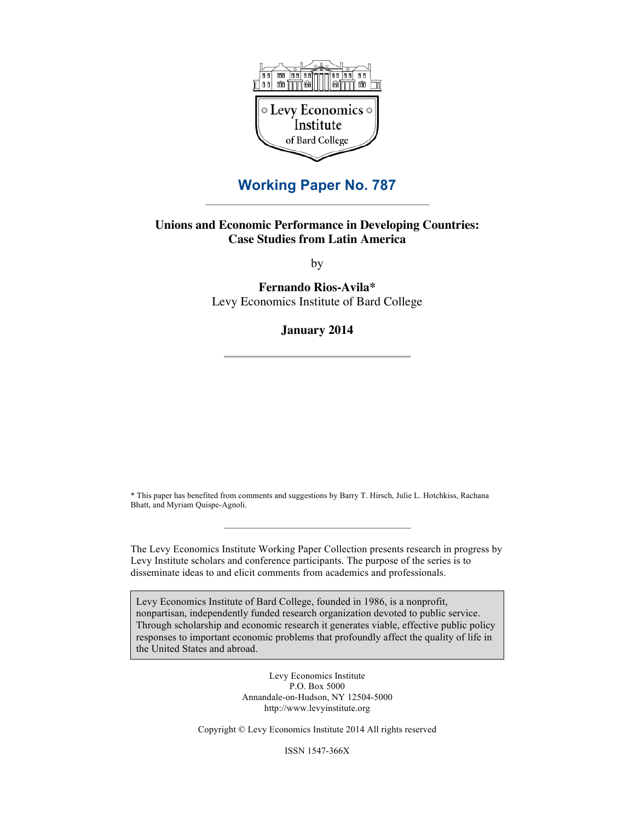

# **Working Paper No. 787**

#### **Unions and Economic Performance in Developing Countries: Case Studies from Latin America**

by

**Fernando Rios-Avila\*** Levy Economics Institute of Bard College

**January 2014**

\* This paper has benefited from comments and suggestions by Barry T. Hirsch, Julie L. Hotchkiss, Rachana Bhatt, and Myriam Quispe-Agnoli.

The Levy Economics Institute Working Paper Collection presents research in progress by Levy Institute scholars and conference participants. The purpose of the series is to disseminate ideas to and elicit comments from academics and professionals.

Levy Economics Institute of Bard College, founded in 1986, is a nonprofit, nonpartisan, independently funded research organization devoted to public service. Through scholarship and economic research it generates viable, effective public policy responses to important economic problems that profoundly affect the quality of life in the United States and abroad.

> Levy Economics Institute P.O. Box 5000 Annandale-on-Hudson, NY 12504-5000 http://www.levyinstitute.org

Copyright © Levy Economics Institute 2014 All rights reserved

ISSN 1547-366X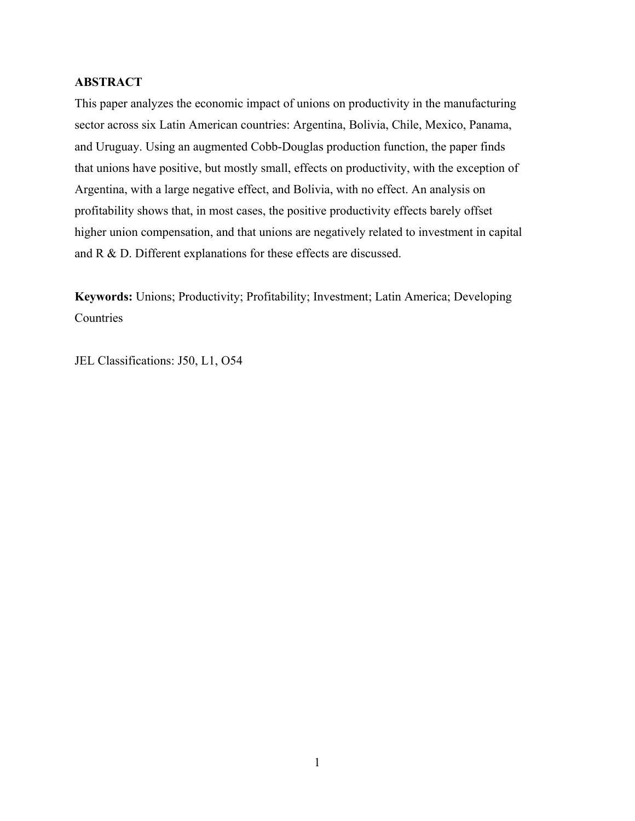## **ABSTRACT**

This paper analyzes the economic impact of unions on productivity in the manufacturing sector across six Latin American countries: Argentina, Bolivia, Chile, Mexico, Panama, and Uruguay. Using an augmented Cobb-Douglas production function, the paper finds that unions have positive, but mostly small, effects on productivity, with the exception of Argentina, with a large negative effect, and Bolivia, with no effect. An analysis on profitability shows that, in most cases, the positive productivity effects barely offset higher union compensation, and that unions are negatively related to investment in capital and R & D. Different explanations for these effects are discussed.

**Keywords:** Unions; Productivity; Profitability; Investment; Latin America; Developing **Countries** 

JEL Classifications: J50, L1, O54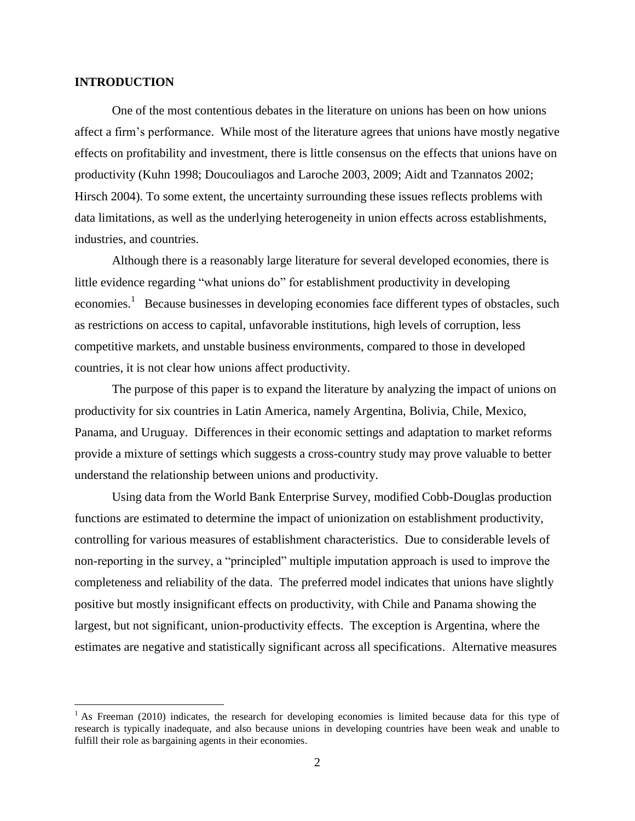#### **INTRODUCTION**

 $\overline{a}$ 

One of the most contentious debates in the literature on unions has been on how unions affect a firm's performance. While most of the literature agrees that unions have mostly negative effects on profitability and investment, there is little consensus on the effects that unions have on productivity (Kuhn 1998; Doucouliagos and Laroche 2003, 2009; Aidt and Tzannatos 2002; Hirsch 2004). To some extent, the uncertainty surrounding these issues reflects problems with data limitations, as well as the underlying heterogeneity in union effects across establishments, industries, and countries.

Although there is a reasonably large literature for several developed economies, there is little evidence regarding "what unions do" for establishment productivity in developing economies.<sup>1</sup> Because businesses in developing economies face different types of obstacles, such as restrictions on access to capital, unfavorable institutions, high levels of corruption, less competitive markets, and unstable business environments, compared to those in developed countries, it is not clear how unions affect productivity.

The purpose of this paper is to expand the literature by analyzing the impact of unions on productivity for six countries in Latin America, namely Argentina, Bolivia, Chile, Mexico, Panama, and Uruguay. Differences in their economic settings and adaptation to market reforms provide a mixture of settings which suggests a cross-country study may prove valuable to better understand the relationship between unions and productivity.

Using data from the World Bank Enterprise Survey, modified Cobb-Douglas production functions are estimated to determine the impact of unionization on establishment productivity, controlling for various measures of establishment characteristics. Due to considerable levels of non-reporting in the survey, a "principled" multiple imputation approach is used to improve the completeness and reliability of the data. The preferred model indicates that unions have slightly positive but mostly insignificant effects on productivity, with Chile and Panama showing the largest, but not significant, union-productivity effects. The exception is Argentina, where the estimates are negative and statistically significant across all specifications. Alternative measures

 $<sup>1</sup>$  As Freeman (2010) indicates, the research for developing economies is limited because data for this type of</sup> research is typically inadequate, and also because unions in developing countries have been weak and unable to fulfill their role as bargaining agents in their economies.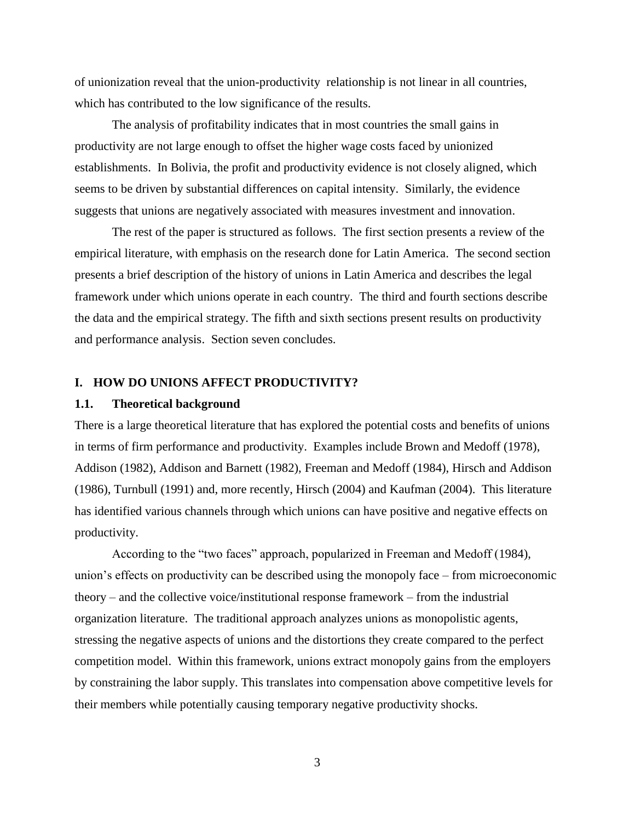of unionization reveal that the union-productivity relationship is not linear in all countries, which has contributed to the low significance of the results.

The analysis of profitability indicates that in most countries the small gains in productivity are not large enough to offset the higher wage costs faced by unionized establishments. In Bolivia, the profit and productivity evidence is not closely aligned, which seems to be driven by substantial differences on capital intensity. Similarly, the evidence suggests that unions are negatively associated with measures investment and innovation.

The rest of the paper is structured as follows. The first section presents a review of the empirical literature, with emphasis on the research done for Latin America. The second section presents a brief description of the history of unions in Latin America and describes the legal framework under which unions operate in each country. The third and fourth sections describe the data and the empirical strategy. The fifth and sixth sections present results on productivity and performance analysis. Section seven concludes.

#### **I. HOW DO UNIONS AFFECT PRODUCTIVITY?**

#### **1.1. Theoretical background**

There is a large theoretical literature that has explored the potential costs and benefits of unions in terms of firm performance and productivity. Examples include Brown and Medoff (1978), Addison (1982), Addison and Barnett (1982), Freeman and Medoff (1984), Hirsch and Addison (1986), Turnbull (1991) and, more recently, Hirsch (2004) and Kaufman (2004). This literature has identified various channels through which unions can have positive and negative effects on productivity.

According to the "two faces" approach, popularized in Freeman and Medoff (1984), union's effects on productivity can be described using the monopoly face – from microeconomic theory – and the collective voice/institutional response framework – from the industrial organization literature. The traditional approach analyzes unions as monopolistic agents, stressing the negative aspects of unions and the distortions they create compared to the perfect competition model. Within this framework, unions extract monopoly gains from the employers by constraining the labor supply. This translates into compensation above competitive levels for their members while potentially causing temporary negative productivity shocks.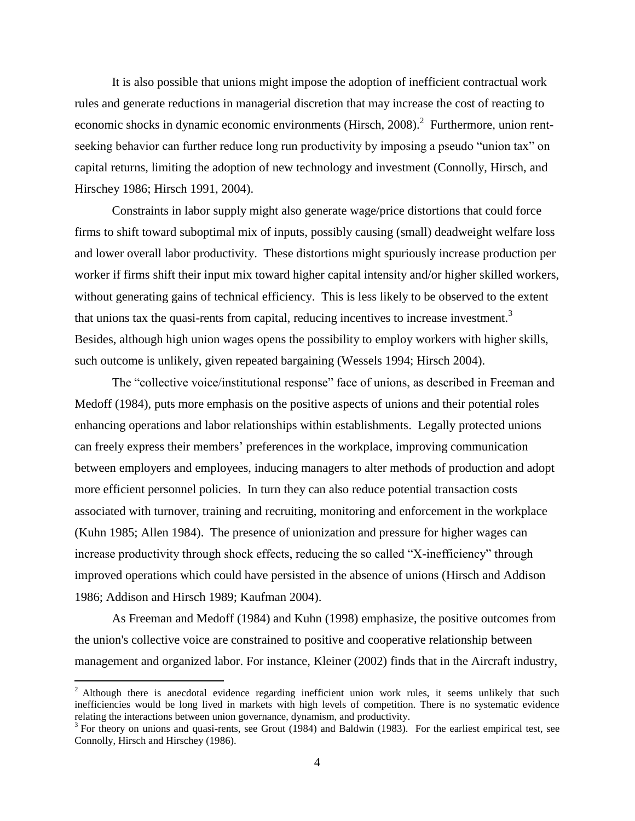It is also possible that unions might impose the adoption of inefficient contractual work rules and generate reductions in managerial discretion that may increase the cost of reacting to economic shocks in dynamic economic environments (Hirsch, 2008).<sup>2</sup> Furthermore, union rentseeking behavior can further reduce long run productivity by imposing a pseudo "union tax" on capital returns, limiting the adoption of new technology and investment (Connolly, Hirsch, and Hirschey 1986; Hirsch 1991, 2004).

Constraints in labor supply might also generate wage/price distortions that could force firms to shift toward suboptimal mix of inputs, possibly causing (small) deadweight welfare loss and lower overall labor productivity. These distortions might spuriously increase production per worker if firms shift their input mix toward higher capital intensity and/or higher skilled workers, without generating gains of technical efficiency. This is less likely to be observed to the extent that unions tax the quasi-rents from capital, reducing incentives to increase investment.<sup>3</sup> Besides, although high union wages opens the possibility to employ workers with higher skills, such outcome is unlikely, given repeated bargaining (Wessels 1994; Hirsch 2004).

The "collective voice/institutional response" face of unions, as described in Freeman and Medoff (1984), puts more emphasis on the positive aspects of unions and their potential roles enhancing operations and labor relationships within establishments. Legally protected unions can freely express their members' preferences in the workplace, improving communication between employers and employees, inducing managers to alter methods of production and adopt more efficient personnel policies. In turn they can also reduce potential transaction costs associated with turnover, training and recruiting, monitoring and enforcement in the workplace (Kuhn 1985; Allen 1984). The presence of unionization and pressure for higher wages can increase productivity through shock effects, reducing the so called "X-inefficiency" through improved operations which could have persisted in the absence of unions (Hirsch and Addison 1986; Addison and Hirsch 1989; Kaufman 2004).

As Freeman and Medoff (1984) and Kuhn (1998) emphasize, the positive outcomes from the union's collective voice are constrained to positive and cooperative relationship between management and organized labor. For instance, Kleiner (2002) finds that in the Aircraft industry,

<sup>&</sup>lt;sup>2</sup> Although there is anecdotal evidence regarding inefficient union work rules, it seems unlikely that such inefficiencies would be long lived in markets with high levels of competition. There is no systematic evidence relating the interactions between union governance, dynamism, and productivity.

 $3$  For theory on unions and quasi-rents, see Grout (1984) and Baldwin (1983). For the earliest empirical test, see Connolly, Hirsch and Hirschey (1986).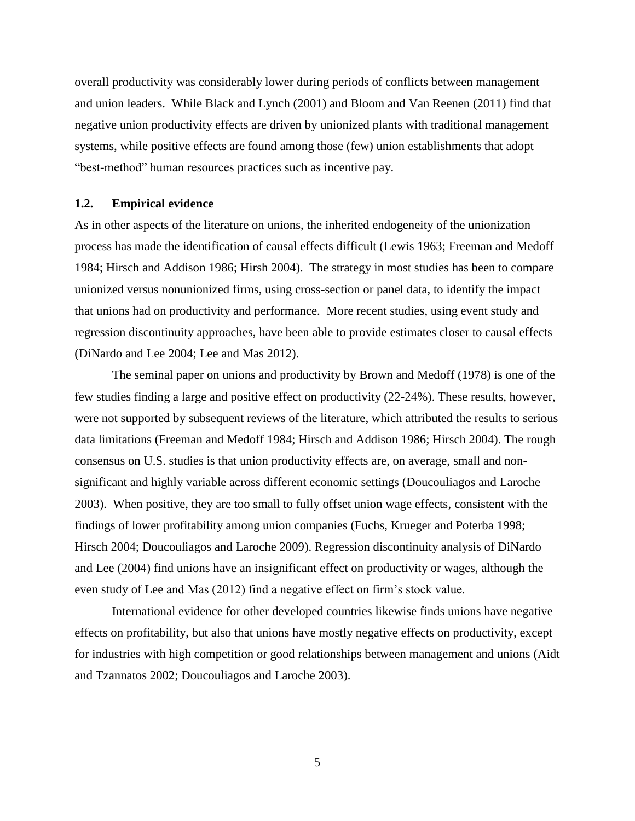overall productivity was considerably lower during periods of conflicts between management and union leaders. While Black and Lynch (2001) and Bloom and Van Reenen (2011) find that negative union productivity effects are driven by unionized plants with traditional management systems, while positive effects are found among those (few) union establishments that adopt "best-method" human resources practices such as incentive pay.

#### **1.2. Empirical evidence**

As in other aspects of the literature on unions, the inherited endogeneity of the unionization process has made the identification of causal effects difficult (Lewis 1963; Freeman and Medoff 1984; Hirsch and Addison 1986; Hirsh 2004). The strategy in most studies has been to compare unionized versus nonunionized firms, using cross-section or panel data, to identify the impact that unions had on productivity and performance. More recent studies, using event study and regression discontinuity approaches, have been able to provide estimates closer to causal effects (DiNardo and Lee 2004; Lee and Mas 2012).

The seminal paper on unions and productivity by Brown and Medoff (1978) is one of the few studies finding a large and positive effect on productivity (22-24%). These results, however, were not supported by subsequent reviews of the literature, which attributed the results to serious data limitations (Freeman and Medoff 1984; Hirsch and Addison 1986; Hirsch 2004). The rough consensus on U.S. studies is that union productivity effects are, on average, small and nonsignificant and highly variable across different economic settings (Doucouliagos and Laroche 2003). When positive, they are too small to fully offset union wage effects, consistent with the findings of lower profitability among union companies (Fuchs, Krueger and Poterba 1998; Hirsch 2004; Doucouliagos and Laroche 2009). Regression discontinuity analysis of DiNardo and Lee (2004) find unions have an insignificant effect on productivity or wages, although the even study of Lee and Mas (2012) find a negative effect on firm's stock value.

International evidence for other developed countries likewise finds unions have negative effects on profitability, but also that unions have mostly negative effects on productivity, except for industries with high competition or good relationships between management and unions (Aidt and Tzannatos 2002; Doucouliagos and Laroche 2003).

5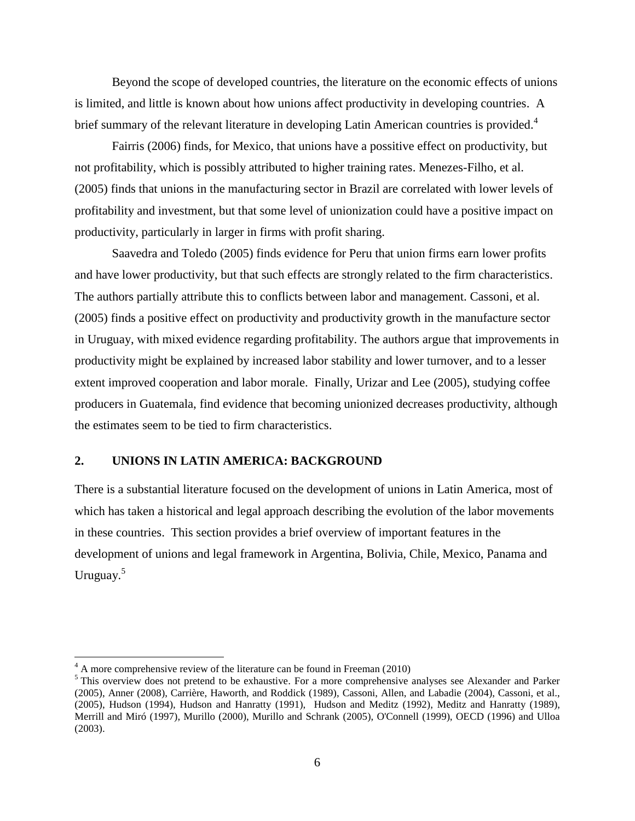Beyond the scope of developed countries, the literature on the economic effects of unions is limited, and little is known about how unions affect productivity in developing countries. A brief summary of the relevant literature in developing Latin American countries is provided.<sup>4</sup>

Fairris (2006) finds, for Mexico, that unions have a possitive effect on productivity, but not profitability, which is possibly attributed to higher training rates. Menezes-Filho, et al. (2005) finds that unions in the manufacturing sector in Brazil are correlated with lower levels of profitability and investment, but that some level of unionization could have a positive impact on productivity, particularly in larger in firms with profit sharing.

Saavedra and Toledo (2005) finds evidence for Peru that union firms earn lower profits and have lower productivity, but that such effects are strongly related to the firm characteristics. The authors partially attribute this to conflicts between labor and management. Cassoni, et al. (2005) finds a positive effect on productivity and productivity growth in the manufacture sector in Uruguay, with mixed evidence regarding profitability. The authors argue that improvements in productivity might be explained by increased labor stability and lower turnover, and to a lesser extent improved cooperation and labor morale. Finally, Urizar and Lee (2005), studying coffee producers in Guatemala, find evidence that becoming unionized decreases productivity, although the estimates seem to be tied to firm characteristics.

#### **2. UNIONS IN LATIN AMERICA: BACKGROUND**

There is a substantial literature focused on the development of unions in Latin America, most of which has taken a historical and legal approach describing the evolution of the labor movements in these countries. This section provides a brief overview of important features in the development of unions and legal framework in Argentina, Bolivia, Chile, Mexico, Panama and Uruguay.<sup>5</sup>

 $4 \text{ A}$  more comprehensive review of the literature can be found in Freeman (2010)

<sup>&</sup>lt;sup>5</sup> This overview does not pretend to be exhaustive. For a more comprehensive analyses see Alexander and Parker (2005), Anner (2008), Carrière, Haworth, and Roddick (1989), Cassoni, Allen, and Labadie (2004), Cassoni, et al., (2005), Hudson (1994), Hudson and Hanratty (1991), Hudson and Meditz (1992), Meditz and Hanratty (1989), Merrill and Miró (1997), Murillo (2000), Murillo and Schrank (2005), O'Connell (1999), OECD (1996) and Ulloa (2003).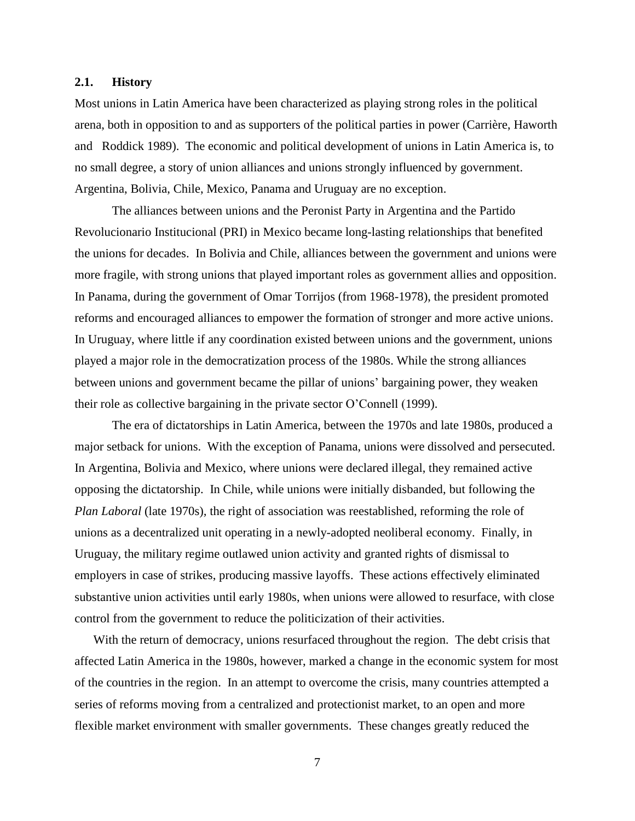#### **2.1. History**

Most unions in Latin America have been characterized as playing strong roles in the political arena, both in opposition to and as supporters of the political parties in power (Carrière, Haworth and Roddick 1989). The economic and political development of unions in Latin America is, to no small degree, a story of union alliances and unions strongly influenced by government. Argentina, Bolivia, Chile, Mexico, Panama and Uruguay are no exception.

The alliances between unions and the Peronist Party in Argentina and the Partido Revolucionario Institucional (PRI) in Mexico became long-lasting relationships that benefited the unions for decades. In Bolivia and Chile, alliances between the government and unions were more fragile, with strong unions that played important roles as government allies and opposition. In Panama, during the government of Omar Torrijos (from 1968-1978), the president promoted reforms and encouraged alliances to empower the formation of stronger and more active unions. In Uruguay, where little if any coordination existed between unions and the government, unions played a major role in the democratization process of the 1980s. While the strong alliances between unions and government became the pillar of unions' bargaining power, they weaken their role as collective bargaining in the private sector O'Connell (1999).

The era of dictatorships in Latin America, between the 1970s and late 1980s, produced a major setback for unions. With the exception of Panama, unions were dissolved and persecuted. In Argentina, Bolivia and Mexico, where unions were declared illegal, they remained active opposing the dictatorship. In Chile, while unions were initially disbanded, but following the *Plan Laboral* (late 1970s)*,* the right of association was reestablished, reforming the role of unions as a decentralized unit operating in a newly-adopted neoliberal economy. Finally, in Uruguay, the military regime outlawed union activity and granted rights of dismissal to employers in case of strikes, producing massive layoffs. These actions effectively eliminated substantive union activities until early 1980s, when unions were allowed to resurface, with close control from the government to reduce the politicization of their activities.

With the return of democracy, unions resurfaced throughout the region. The debt crisis that affected Latin America in the 1980s, however, marked a change in the economic system for most of the countries in the region. In an attempt to overcome the crisis, many countries attempted a series of reforms moving from a centralized and protectionist market, to an open and more flexible market environment with smaller governments. These changes greatly reduced the

7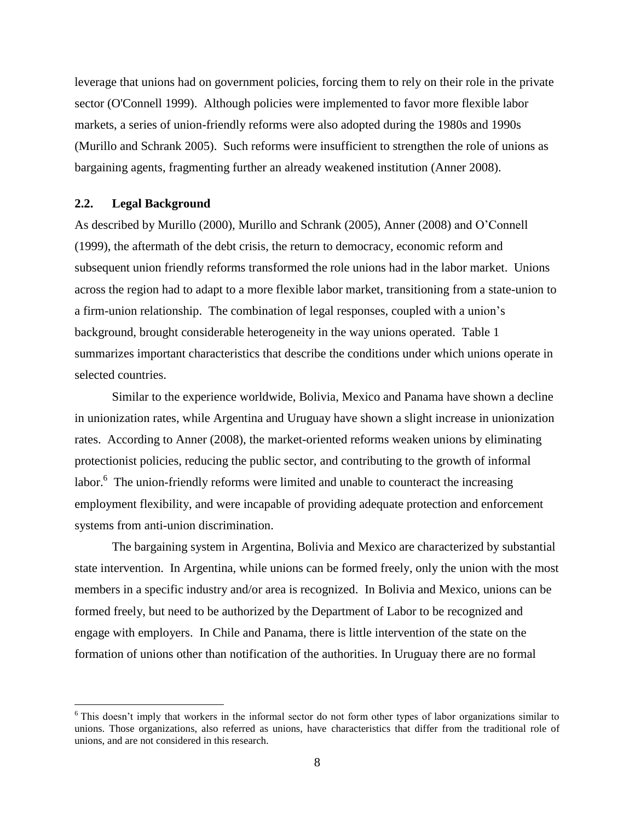leverage that unions had on government policies, forcing them to rely on their role in the private sector (O'Connell 1999). Although policies were implemented to favor more flexible labor markets, a series of union-friendly reforms were also adopted during the 1980s and 1990s (Murillo and Schrank 2005). Such reforms were insufficient to strengthen the role of unions as bargaining agents, fragmenting further an already weakened institution (Anner 2008).

#### **2.2. Legal Background**

 $\overline{a}$ 

As described by Murillo (2000), Murillo and Schrank (2005), Anner (2008) and O'Connell (1999), the aftermath of the debt crisis, the return to democracy, economic reform and subsequent union friendly reforms transformed the role unions had in the labor market. Unions across the region had to adapt to a more flexible labor market, transitioning from a state-union to a firm-union relationship. The combination of legal responses, coupled with a union's background, brought considerable heterogeneity in the way unions operated. Table 1 summarizes important characteristics that describe the conditions under which unions operate in selected countries.

Similar to the experience worldwide, Bolivia, Mexico and Panama have shown a decline in unionization rates, while Argentina and Uruguay have shown a slight increase in unionization rates. According to Anner (2008), the market-oriented reforms weaken unions by eliminating protectionist policies, reducing the public sector, and contributing to the growth of informal labor.<sup>6</sup> The union-friendly reforms were limited and unable to counteract the increasing employment flexibility, and were incapable of providing adequate protection and enforcement systems from anti-union discrimination.

The bargaining system in Argentina, Bolivia and Mexico are characterized by substantial state intervention. In Argentina, while unions can be formed freely, only the union with the most members in a specific industry and/or area is recognized. In Bolivia and Mexico, unions can be formed freely, but need to be authorized by the Department of Labor to be recognized and engage with employers. In Chile and Panama, there is little intervention of the state on the formation of unions other than notification of the authorities. In Uruguay there are no formal

<sup>&</sup>lt;sup>6</sup> This doesn't imply that workers in the informal sector do not form other types of labor organizations similar to unions. Those organizations, also referred as unions, have characteristics that differ from the traditional role of unions, and are not considered in this research.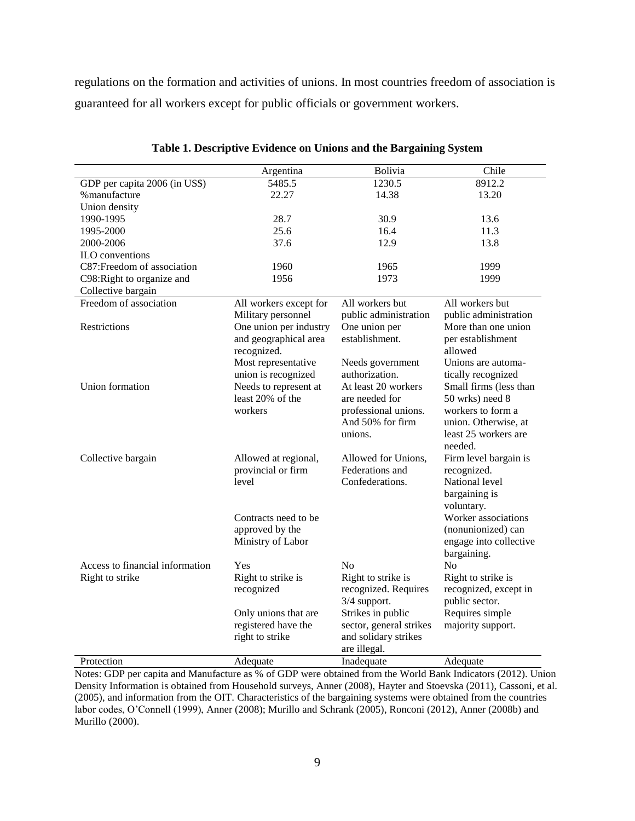regulations on the formation and activities of unions. In most countries freedom of association is guaranteed for all workers except for public officials or government workers.

|                                 | Argentina              | Bolivia                 | Chile                  |
|---------------------------------|------------------------|-------------------------|------------------------|
| GDP per capita 2006 (in US\$)   | 5485.5                 | 1230.5                  | 8912.2                 |
| % manufacture                   | 22.27                  | 14.38                   | 13.20                  |
| Union density                   |                        |                         |                        |
| 1990-1995                       | 28.7                   | 30.9                    | 13.6                   |
| 1995-2000                       | 25.6                   | 16.4                    | 11.3                   |
| 2000-2006                       | 37.6                   | 12.9                    | 13.8                   |
| <b>ILO</b> conventions          |                        |                         |                        |
| C87:Freedom of association      | 1960                   | 1965                    | 1999                   |
| C98: Right to organize and      | 1956                   | 1973                    | 1999                   |
| Collective bargain              |                        |                         |                        |
| Freedom of association          | All workers except for | All workers but         | All workers but        |
|                                 | Military personnel     | public administration   | public administration  |
| Restrictions                    | One union per industry | One union per           | More than one union    |
|                                 | and geographical area  | establishment.          | per establishment      |
|                                 | recognized.            |                         | allowed                |
|                                 | Most representative    | Needs government        | Unions are automa-     |
|                                 | union is recognized    | authorization.          | tically recognized     |
| Union formation                 | Needs to represent at  | At least 20 workers     | Small firms (less than |
|                                 | least 20% of the       | are needed for          | 50 wrks) need 8        |
|                                 | workers                | professional unions.    | workers to form a      |
|                                 |                        | And 50% for firm        | union. Otherwise, at   |
|                                 |                        | unions.                 | least 25 workers are   |
|                                 |                        |                         | needed.                |
| Collective bargain              | Allowed at regional,   | Allowed for Unions,     | Firm level bargain is  |
|                                 | provincial or firm     | Federations and         | recognized.            |
|                                 | level                  | Confederations.         | National level         |
|                                 |                        |                         | bargaining is          |
|                                 |                        |                         |                        |
|                                 |                        |                         | voluntary.             |
|                                 | Contracts need to be   |                         | Worker associations    |
|                                 | approved by the        |                         | (nonunionized) can     |
|                                 | Ministry of Labor      |                         | engage into collective |
|                                 |                        |                         | bargaining.            |
| Access to financial information | Yes                    | N <sub>o</sub>          | N <sub>0</sub>         |
| Right to strike                 | Right to strike is     | Right to strike is      | Right to strike is     |
|                                 | recognized             | recognized. Requires    | recognized, except in  |
|                                 |                        | 3/4 support.            | public sector.         |
|                                 | Only unions that are   | Strikes in public       | Requires simple        |
|                                 | registered have the    | sector, general strikes | majority support.      |
|                                 | right to strike        | and solidary strikes    |                        |
|                                 |                        | are illegal.            |                        |
| Protection                      | Adequate               | Inadequate              | Adequate               |

**Table 1. Descriptive Evidence on Unions and the Bargaining System**

Notes: GDP per capita and Manufacture as % of GDP were obtained from the World Bank Indicators (2012). Union Density Information is obtained from Household surveys, Anner (2008), Hayter and Stoevska (2011), Cassoni, et al. (2005), and information from the OIT. Characteristics of the bargaining systems were obtained from the countries labor codes, O'Connell (1999), Anner (2008); Murillo and Schrank (2005), Ronconi (2012)[, Anner \(2008b\)](#page-43-0) and Murillo (2000).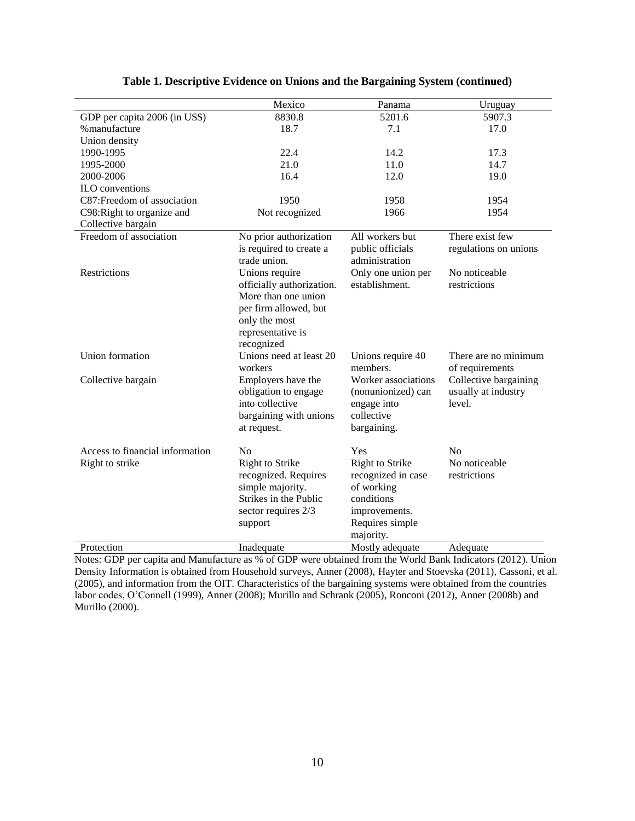|                                 | Mexico                    | Panama                 | Uruguay               |
|---------------------------------|---------------------------|------------------------|-----------------------|
| GDP per capita 2006 (in US\$)   | 8830.8                    | 5201.6                 | 5907.3                |
| % manufacture                   | 18.7                      | 7.1                    | 17.0                  |
| Union density                   |                           |                        |                       |
| 1990-1995                       | 22.4                      | 14.2                   | 17.3                  |
| 1995-2000                       | 21.0                      | 11.0                   | 14.7                  |
| 2000-2006                       | 16.4                      | 12.0                   | 19.0                  |
| ILO conventions                 |                           |                        |                       |
| C87: Freedom of association     | 1950                      | 1958                   | 1954                  |
| C98: Right to organize and      | Not recognized            | 1966                   | 1954                  |
| Collective bargain              |                           |                        |                       |
| Freedom of association          | No prior authorization    | All workers but        | There exist few       |
|                                 | is required to create a   | public officials       | regulations on unions |
|                                 | trade union.              | administration         |                       |
| Restrictions                    | Unions require            | Only one union per     | No noticeable         |
|                                 | officially authorization. | establishment.         | restrictions          |
|                                 | More than one union       |                        |                       |
|                                 | per firm allowed, but     |                        |                       |
|                                 | only the most             |                        |                       |
|                                 | representative is         |                        |                       |
|                                 | recognized                |                        |                       |
| Union formation                 | Unions need at least 20   | Unions require 40      | There are no minimum  |
|                                 | workers                   | members.               | of requirements       |
| Collective bargain              | Employers have the        | Worker associations    | Collective bargaining |
|                                 | obligation to engage      | (nonunionized) can     | usually at industry   |
|                                 | into collective           | engage into            | level.                |
|                                 | bargaining with unions    | collective             |                       |
|                                 | at request.               | bargaining.            |                       |
|                                 |                           |                        |                       |
| Access to financial information | No                        | Yes                    | No                    |
| Right to strike                 | Right to Strike           | <b>Right to Strike</b> | No noticeable         |
|                                 | recognized. Requires      | recognized in case     | restrictions          |
|                                 | simple majority.          | of working             |                       |
|                                 | Strikes in the Public     | conditions             |                       |
|                                 | sector requires 2/3       | improvements.          |                       |
|                                 | support                   | Requires simple        |                       |
|                                 |                           | majority.              |                       |
| Protection                      | Inadequate                | Mostly adequate        | Adequate              |

#### **Table 1. Descriptive Evidence on Unions and the Bargaining System (continued)**

Notes: GDP per capita and Manufacture as % of GDP were obtained from the World Bank Indicators (2012). Union Density Information is obtained from Household surveys, Anner (2008), Hayter and Stoevska (2011), Cassoni, et al. (2005), and information from the OIT. Characteristics of the bargaining systems were obtained from the countries labor codes, O'Connell (1999), Anner (2008); Murillo and Schrank (2005), Ronconi (2012)[, Anner \(2008b\)](#page-43-0) and Murillo (2000).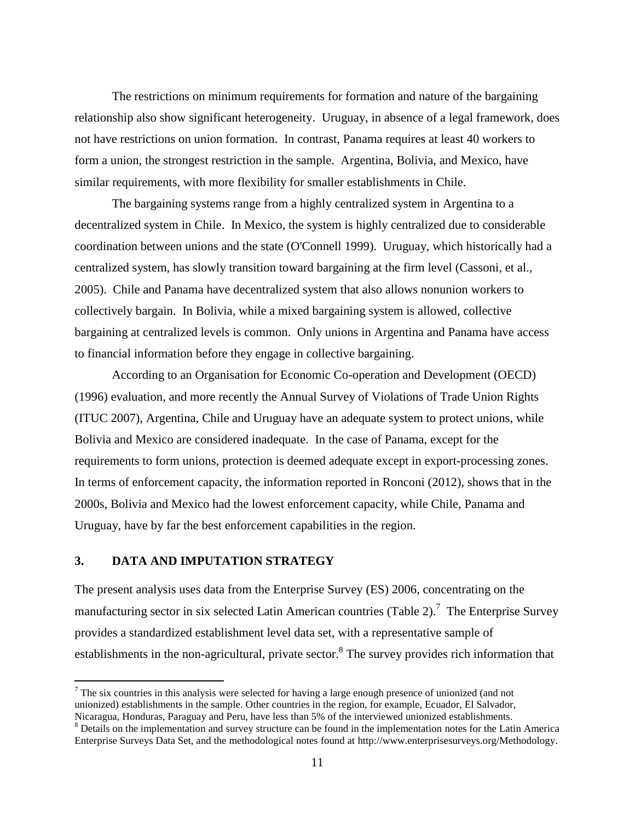The restrictions on minimum requirements for formation and nature of the bargaining relationship also show significant heterogeneity. Uruguay, in absence of a legal framework, does not have restrictions on union formation. In contrast, Panama requires at least 40 workers to form a union, the strongest restriction in the sample. Argentina, Bolivia, and Mexico, have similar requirements, with more flexibility for smaller establishments in Chile.

The bargaining systems range from a highly centralized system in Argentina to a decentralized system in Chile. In Mexico, the system is highly centralized due to considerable coordination between unions and the state (O'Connell 1999). Uruguay, which historically had a centralized system, has slowly transition toward bargaining at the firm level (Cassoni, et al., 2005). Chile and Panama have decentralized system that also allows nonunion workers to collectively bargain. In Bolivia, while a mixed bargaining system is allowed, collective bargaining at centralized levels is common. Only unions in Argentina and Panama have access to financial information before they engage in collective bargaining.

According to an Organisation for Economic Co-operation and Development (OECD) (1996) evaluation, and more recently the Annual Survey of Violations of Trade Union Rights (ITUC 2007), Argentina, Chile and Uruguay have an adequate system to protect unions, while Bolivia and Mexico are considered inadequate. In the case of Panama, except for the requirements to form unions, protection is deemed adequate except in export-processing zones. In terms of enforcement capacity, the information reported in Ronconi (2012), shows that in the 2000s, Bolivia and Mexico had the lowest enforcement capacity, while Chile, Panama and Uruguay, have by far the best enforcement capabilities in the region.

### **3. DATA AND IMPUTATION STRATEGY**

 $\overline{a}$ 

The present analysis uses data from the Enterprise Survey (ES) 2006, concentrating on the manufacturing sector in six selected Latin American countries (Table 2).<sup>7</sup> The Enterprise Survey provides a standardized establishment level data set, with a representative sample of establishments in the non-agricultural, private sector.<sup>8</sup> The survey provides rich information that

 $7$  The six countries in this analysis were selected for having a large enough presence of unionized (and not unionized) establishments in the sample. Other countries in the region, for example, Ecuador, El Salvador, Nicaragua, Honduras, Paraguay and Peru, have less than 5% of the interviewed unionized establishments.

<sup>&</sup>lt;sup>8</sup> Details on the implementation and survey structure can be found in the implementation notes for the Latin America Enterprise Surveys Data Set, and the methodological notes found at [http://www.enterprisesurveys.org/Methodology.](http://www.enterprisesurveys.org/Methodology)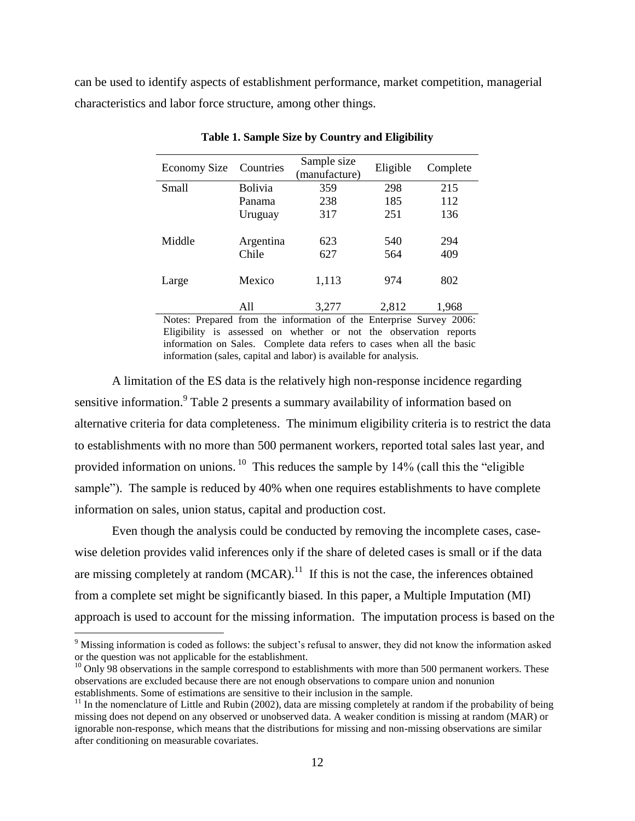can be used to identify aspects of establishment performance, market competition, managerial characteristics and labor force structure, among other things.

| <b>Economy Size</b> | Countries | Sample size<br>(manufacture) | Eligible | Complete |
|---------------------|-----------|------------------------------|----------|----------|
| Small               | Bolivia   | 359                          | 298      | 215      |
|                     | Panama    | 238                          | 185      | 112      |
|                     | Uruguay   | 317                          | 251      | 136      |
|                     |           |                              |          |          |
| Middle              | Argentina | 623                          | 540      | 294      |
|                     | Chile     | 627                          | 564      | 409      |
|                     |           |                              |          |          |
| Large               | Mexico    | 1,113                        | 974      | 802      |
|                     |           |                              |          |          |
|                     | All       | 3,277                        | 2,812    | 1,968    |

**Table 1. Sample Size by Country and Eligibility**

Notes: Prepared from the information of the Enterprise Survey 2006: Eligibility is assessed on whether or not the observation reports information on Sales. Complete data refers to cases when all the basic information (sales, capital and labor) is available for analysis.

A limitation of the ES data is the relatively high non-response incidence regarding sensitive information.<sup>9</sup> Table 2 presents a summary availability of information based on alternative criteria for data completeness. The minimum eligibility criteria is to restrict the data to establishments with no more than 500 permanent workers, reported total sales last year, and provided information on unions. <sup>10</sup> This reduces the sample by 14% (call this the "eligible" sample"). The sample is reduced by 40% when one requires establishments to have complete information on sales, union status, capital and production cost.

Even though the analysis could be conducted by removing the incomplete cases, casewise deletion provides valid inferences only if the share of deleted cases is small or if the data are missing completely at random  $(MCAR)$ .<sup>11</sup> If this is not the case, the inferences obtained from a complete set might be significantly biased. In this paper, a Multiple Imputation (MI) approach is used to account for the missing information. The imputation process is based on the

<sup>&</sup>lt;sup>9</sup> Missing information is coded as follows: the subject's refusal to answer, they did not know the information asked or the question was not applicable for the establishment.

 $10$  Only 98 observations in the sample correspond to establishments with more than 500 permanent workers. These observations are excluded because there are not enough observations to compare union and nonunion establishments. Some of estimations are sensitive to their inclusion in the sample.

 $<sup>11</sup>$  In the nomenclature of Little and Rubin (2002), data are missing completely at random if the probability of being</sup> missing does not depend on any observed or unobserved data. A weaker condition is missing at random (MAR) or ignorable non-response, which means that the distributions for missing and non-missing observations are similar after conditioning on measurable covariates.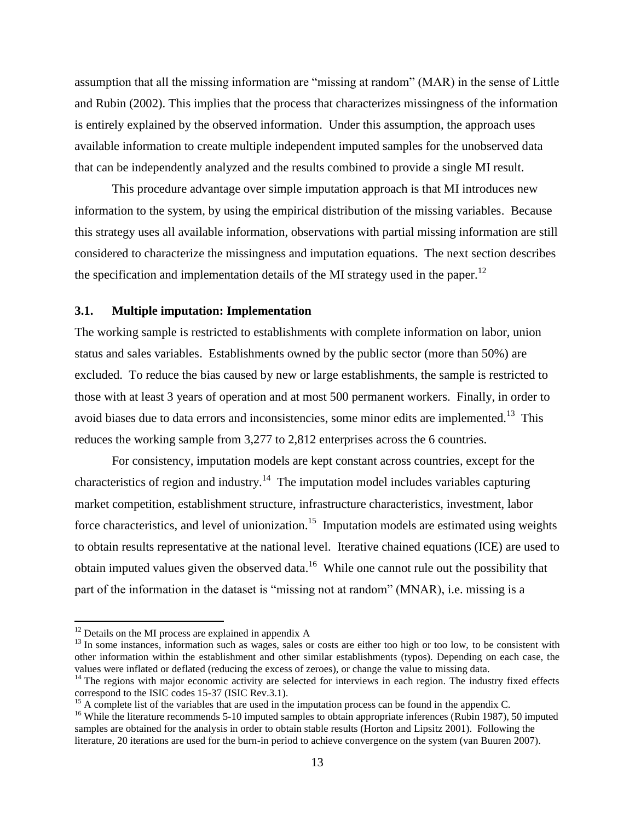assumption that all the missing information are "missing at random" (MAR) in the sense of Little and Rubin (2002). This implies that the process that characterizes missingness of the information is entirely explained by the observed information. Under this assumption, the approach uses available information to create multiple independent imputed samples for the unobserved data that can be independently analyzed and the results combined to provide a single MI result.

This procedure advantage over simple imputation approach is that MI introduces new information to the system, by using the empirical distribution of the missing variables. Because this strategy uses all available information, observations with partial missing information are still considered to characterize the missingness and imputation equations. The next section describes the specification and implementation details of the MI strategy used in the paper.<sup>12</sup>

#### **3.1. Multiple imputation: Implementation**

The working sample is restricted to establishments with complete information on labor, union status and sales variables. Establishments owned by the public sector (more than 50%) are excluded. To reduce the bias caused by new or large establishments, the sample is restricted to those with at least 3 years of operation and at most 500 permanent workers. Finally, in order to avoid biases due to data errors and inconsistencies, some minor edits are implemented.<sup>13</sup> This reduces the working sample from 3,277 to 2,812 enterprises across the 6 countries.

For consistency, imputation models are kept constant across countries, except for the characteristics of region and industry.<sup>14</sup> The imputation model includes variables capturing market competition, establishment structure, infrastructure characteristics, investment, labor force characteristics, and level of unionization.<sup>15</sup> Imputation models are estimated using weights to obtain results representative at the national level. Iterative chained equations (ICE) are used to obtain imputed values given the observed data.<sup>16</sup> While one cannot rule out the possibility that part of the information in the dataset is "missing not at random" (MNAR), i.e. missing is a

 $12$  Details on the MI process are explained in appendix A

 $13$  In some instances, information such as wages, sales or costs are either too high or too low, to be consistent with other information within the establishment and other similar establishments (typos). Depending on each case, the values were inflated or deflated (reducing the excess of zeroes), or change the value to missing data.

 $14$  The regions with major economic activity are selected for interviews in each region. The industry fixed effects correspond to the ISIC codes 15-37 (ISIC Rev.3.1).

 $15$  A complete list of the variables that are used in the imputation process can be found in the appendix C.

<sup>&</sup>lt;sup>16</sup> While the literature recommends 5-10 imputed samples to obtain appropriate inferences (Rubin 1987), 50 imputed samples are obtained for the analysis in order to obtain stable results (Horton and Lipsitz 2001). Following the literature, 20 iterations are used for the burn-in period to achieve convergence on the system (van Buuren 2007).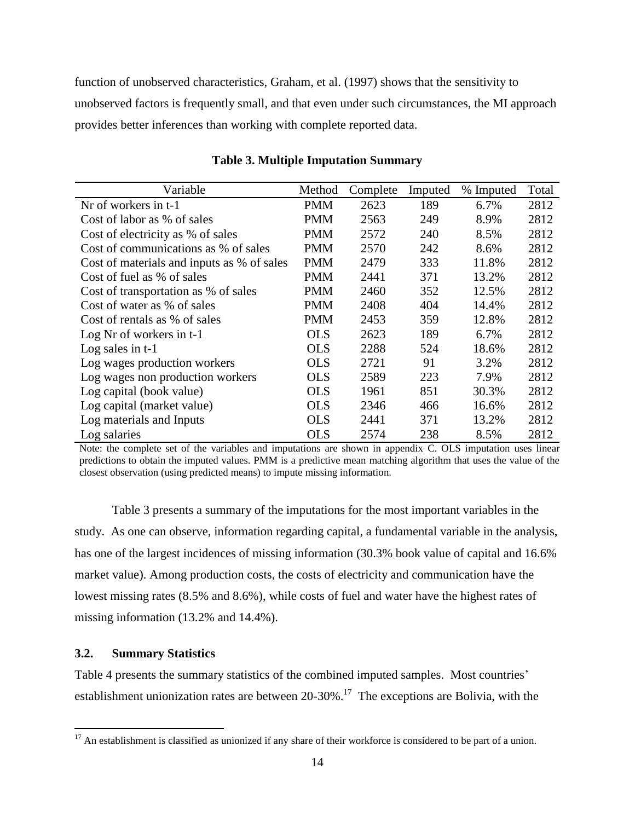function of unobserved characteristics, Graham, et al. (1997) shows that the sensitivity to unobserved factors is frequently small, and that even under such circumstances, the MI approach provides better inferences than working with complete reported data.

| Variable                                   | Method     | Complete | Imputed | % Imputed | Total |
|--------------------------------------------|------------|----------|---------|-----------|-------|
| Nr of workers in t-1                       | <b>PMM</b> | 2623     | 189     | 6.7%      | 2812  |
| Cost of labor as % of sales                | <b>PMM</b> | 2563     | 249     | 8.9%      | 2812  |
| Cost of electricity as % of sales          | <b>PMM</b> | 2572     | 240     | 8.5%      | 2812  |
| Cost of communications as % of sales       | PMM        | 2570     | 242     | 8.6%      | 2812  |
| Cost of materials and inputs as % of sales | <b>PMM</b> | 2479     | 333     | 11.8%     | 2812  |
| Cost of fuel as % of sales                 | <b>PMM</b> | 2441     | 371     | 13.2%     | 2812  |
| Cost of transportation as % of sales       | <b>PMM</b> | 2460     | 352     | 12.5%     | 2812  |
| Cost of water as % of sales                | PMM        | 2408     | 404     | 14.4%     | 2812  |
| Cost of rentals as % of sales              | PMM        | 2453     | 359     | 12.8%     | 2812  |
| Log Nr of workers in $t-1$                 | <b>OLS</b> | 2623     | 189     | 6.7%      | 2812  |
| Log sales in $t-1$                         | <b>OLS</b> | 2288     | 524     | 18.6%     | 2812  |
| Log wages production workers               | <b>OLS</b> | 2721     | 91      | 3.2%      | 2812  |
| Log wages non production workers           | <b>OLS</b> | 2589     | 223     | 7.9%      | 2812  |
| Log capital (book value)                   | <b>OLS</b> | 1961     | 851     | 30.3%     | 2812  |
| Log capital (market value)                 | <b>OLS</b> | 2346     | 466     | 16.6%     | 2812  |
| Log materials and Inputs                   | <b>OLS</b> | 2441     | 371     | 13.2%     | 2812  |
| Log salaries                               | <b>OLS</b> | 2574     | 238     | 8.5%      | 2812  |

#### **Table 3. Multiple Imputation Summary**

Note: the complete set of the variables and imputations are shown in appendix C. OLS imputation uses linear predictions to obtain the imputed values. PMM is a predictive mean matching algorithm that uses the value of the closest observation (using predicted means) to impute missing information.

Table 3 presents a summary of the imputations for the most important variables in the study. As one can observe, information regarding capital, a fundamental variable in the analysis, has one of the largest incidences of missing information (30.3% book value of capital and 16.6% market value). Among production costs, the costs of electricity and communication have the lowest missing rates (8.5% and 8.6%), while costs of fuel and water have the highest rates of missing information (13.2% and 14.4%).

#### **3.2. Summary Statistics**

 $\overline{a}$ 

Table 4 presents the summary statistics of the combined imputed samples. Most countries' establishment unionization rates are between  $20-30\%$ .<sup>17</sup> The exceptions are Bolivia, with the

 $17$  An establishment is classified as unionized if any share of their workforce is considered to be part of a union.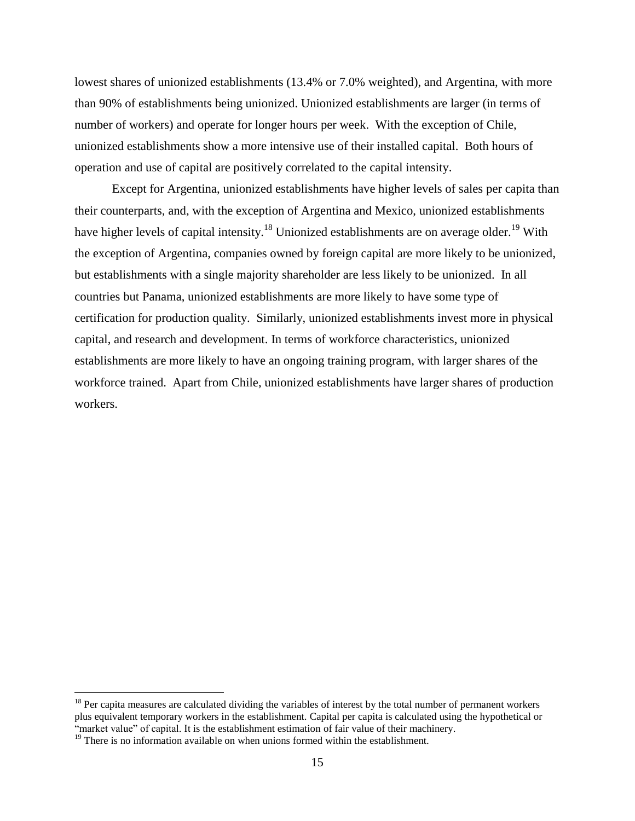lowest shares of unionized establishments (13.4% or 7.0% weighted), and Argentina, with more than 90% of establishments being unionized. Unionized establishments are larger (in terms of number of workers) and operate for longer hours per week. With the exception of Chile, unionized establishments show a more intensive use of their installed capital. Both hours of operation and use of capital are positively correlated to the capital intensity.

Except for Argentina, unionized establishments have higher levels of sales per capita than their counterparts, and, with the exception of Argentina and Mexico, unionized establishments have higher levels of capital intensity.<sup>18</sup> Unionized establishments are on average older.<sup>19</sup> With the exception of Argentina, companies owned by foreign capital are more likely to be unionized, but establishments with a single majority shareholder are less likely to be unionized. In all countries but Panama, unionized establishments are more likely to have some type of certification for production quality. Similarly, unionized establishments invest more in physical capital, and research and development. In terms of workforce characteristics, unionized establishments are more likely to have an ongoing training program, with larger shares of the workforce trained. Apart from Chile, unionized establishments have larger shares of production workers.

 $18$  Per capita measures are calculated dividing the variables of interest by the total number of permanent workers plus equivalent temporary workers in the establishment. Capital per capita is calculated using the hypothetical or "market value" of capital. It is the establishment estimation of fair value of their machinery.

 $19$  There is no information available on when unions formed within the establishment.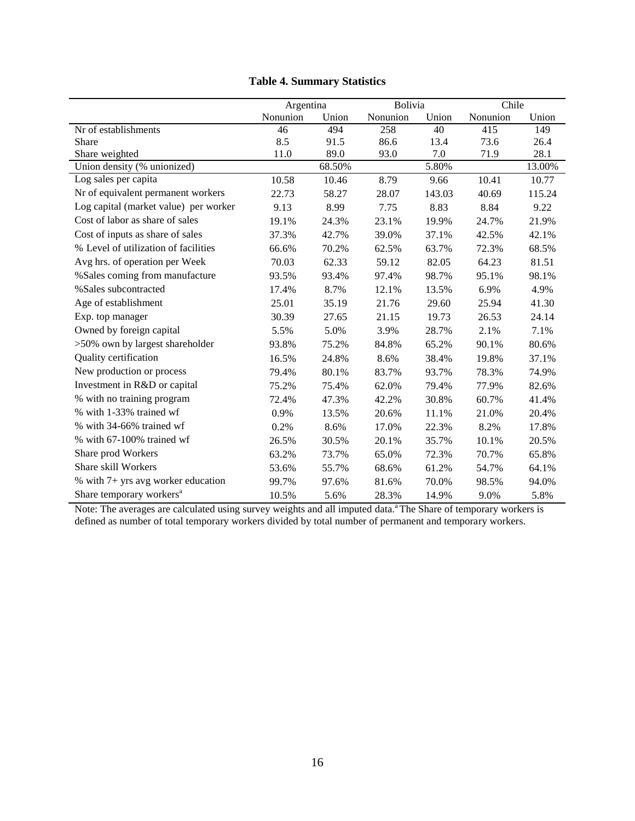|                                       | Argentina |        | Bolivia  |        | Chile    |        |
|---------------------------------------|-----------|--------|----------|--------|----------|--------|
|                                       | Nonunion  | Union  | Nonunion | Union  | Nonunion | Union  |
| Nr of establishments                  | 46        | 494    | 258      | 40     | 415      | 149    |
| Share                                 | 8.5       | 91.5   | 86.6     | 13.4   | 73.6     | 26.4   |
| Share weighted                        | 11.0      | 89.0   | 93.0     | 7.0    | 71.9     | 28.1   |
| Union density (% unionized)           |           | 68.50% |          | 5.80%  |          | 13.00% |
| Log sales per capita                  | 10.58     | 10.46  | 8.79     | 9.66   | 10.41    | 10.77  |
| Nr of equivalent permanent workers    | 22.73     | 58.27  | 28.07    | 143.03 | 40.69    | 115.24 |
| Log capital (market value) per worker | 9.13      | 8.99   | 7.75     | 8.83   | 8.84     | 9.22   |
| Cost of labor as share of sales       | 19.1%     | 24.3%  | 23.1%    | 19.9%  | 24.7%    | 21.9%  |
| Cost of inputs as share of sales      | 37.3%     | 42.7%  | 39.0%    | 37.1%  | 42.5%    | 42.1%  |
| % Level of utilization of facilities  | 66.6%     | 70.2%  | 62.5%    | 63.7%  | 72.3%    | 68.5%  |
| Avg hrs. of operation per Week        | 70.03     | 62.33  | 59.12    | 82.05  | 64.23    | 81.51  |
| %Sales coming from manufacture        | 93.5%     | 93.4%  | 97.4%    | 98.7%  | 95.1%    | 98.1%  |
| %Sales subcontracted                  | 17.4%     | 8.7%   | 12.1%    | 13.5%  | 6.9%     | 4.9%   |
| Age of establishment                  | 25.01     | 35.19  | 21.76    | 29.60  | 25.94    | 41.30  |
| Exp. top manager                      | 30.39     | 27.65  | 21.15    | 19.73  | 26.53    | 24.14  |
| Owned by foreign capital              | 5.5%      | 5.0%   | 3.9%     | 28.7%  | 2.1%     | 7.1%   |
| >50% own by largest shareholder       | 93.8%     | 75.2%  | 84.8%    | 65.2%  | 90.1%    | 80.6%  |
| Quality certification                 | 16.5%     | 24.8%  | 8.6%     | 38.4%  | 19.8%    | 37.1%  |
| New production or process             | 79.4%     | 80.1%  | 83.7%    | 93.7%  | 78.3%    | 74.9%  |
| Investment in R&D or capital          | 75.2%     | 75.4%  | 62.0%    | 79.4%  | 77.9%    | 82.6%  |
| % with no training program            | 72.4%     | 47.3%  | 42.2%    | 30.8%  | 60.7%    | 41.4%  |
| % with 1-33% trained wf               | 0.9%      | 13.5%  | 20.6%    | 11.1%  | 21.0%    | 20.4%  |
| % with 34-66% trained wf              | 0.2%      | 8.6%   | 17.0%    | 22.3%  | 8.2%     | 17.8%  |
| % with 67-100% trained wf             | 26.5%     | 30.5%  | 20.1%    | 35.7%  | 10.1%    | 20.5%  |
| Share prod Workers                    | 63.2%     | 73.7%  | 65.0%    | 72.3%  | 70.7%    | 65.8%  |
| Share skill Workers                   | 53.6%     | 55.7%  | 68.6%    | 61.2%  | 54.7%    | 64.1%  |
| % with 7+ yrs avg worker education    | 99.7%     | 97.6%  | 81.6%    | 70.0%  | 98.5%    | 94.0%  |
| Share temporary workers <sup>a</sup>  | 10.5%     | 5.6%   | 28.3%    | 14.9%  | 9.0%     | 5.8%   |

## **Table 4. Summary Statistics**

Note: The averages are calculated using survey weights and all imputed data.<sup>a</sup> The Share of temporary workers is defined as number of total temporary workers divided by total number of permanent and temporary workers.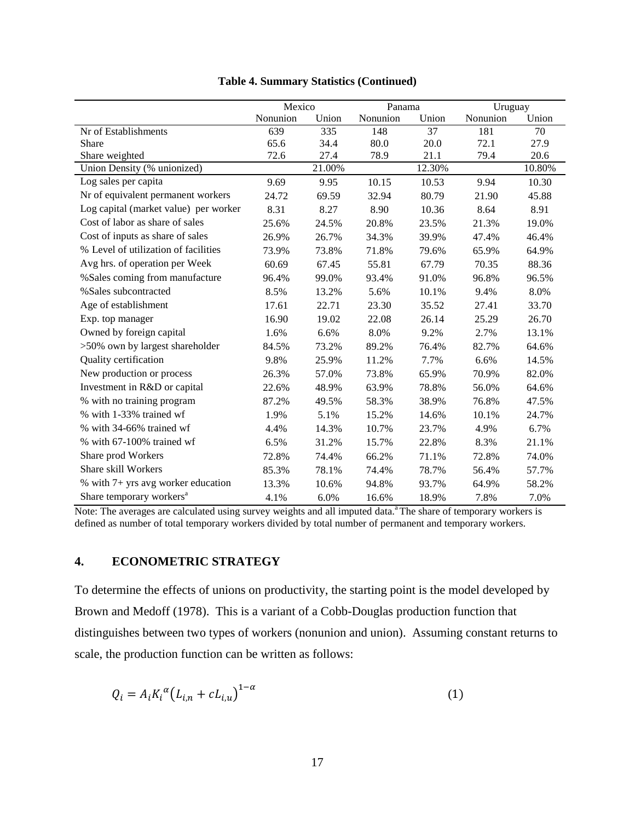|                                       | Mexico   |        | Panama   |        | Uruguay  |        |
|---------------------------------------|----------|--------|----------|--------|----------|--------|
|                                       | Nonunion | Union  | Nonunion | Union  | Nonunion | Union  |
| Nr of Establishments                  | 639      | 335    | 148      | 37     | 181      | 70     |
| Share                                 | 65.6     | 34.4   | 80.0     | 20.0   | 72.1     | 27.9   |
| Share weighted                        | 72.6     | 27.4   | 78.9     | 21.1   | 79.4     | 20.6   |
| Union Density (% unionized)           |          | 21.00% |          | 12.30% |          | 10.80% |
| Log sales per capita                  | 9.69     | 9.95   | 10.15    | 10.53  | 9.94     | 10.30  |
| Nr of equivalent permanent workers    | 24.72    | 69.59  | 32.94    | 80.79  | 21.90    | 45.88  |
| Log capital (market value) per worker | 8.31     | 8.27   | 8.90     | 10.36  | 8.64     | 8.91   |
| Cost of labor as share of sales       | 25.6%    | 24.5%  | 20.8%    | 23.5%  | 21.3%    | 19.0%  |
| Cost of inputs as share of sales      | 26.9%    | 26.7%  | 34.3%    | 39.9%  | 47.4%    | 46.4%  |
| % Level of utilization of facilities  | 73.9%    | 73.8%  | 71.8%    | 79.6%  | 65.9%    | 64.9%  |
| Avg hrs. of operation per Week        | 60.69    | 67.45  | 55.81    | 67.79  | 70.35    | 88.36  |
| %Sales coming from manufacture        | 96.4%    | 99.0%  | 93.4%    | 91.0%  | 96.8%    | 96.5%  |
| %Sales subcontracted                  | 8.5%     | 13.2%  | 5.6%     | 10.1%  | 9.4%     | 8.0%   |
| Age of establishment                  | 17.61    | 22.71  | 23.30    | 35.52  | 27.41    | 33.70  |
| Exp. top manager                      | 16.90    | 19.02  | 22.08    | 26.14  | 25.29    | 26.70  |
| Owned by foreign capital              | 1.6%     | 6.6%   | 8.0%     | 9.2%   | 2.7%     | 13.1%  |
| >50% own by largest shareholder       | 84.5%    | 73.2%  | 89.2%    | 76.4%  | 82.7%    | 64.6%  |
| Quality certification                 | 9.8%     | 25.9%  | 11.2%    | 7.7%   | 6.6%     | 14.5%  |
| New production or process             | 26.3%    | 57.0%  | 73.8%    | 65.9%  | 70.9%    | 82.0%  |
| Investment in R&D or capital          | 22.6%    | 48.9%  | 63.9%    | 78.8%  | 56.0%    | 64.6%  |
| % with no training program            | 87.2%    | 49.5%  | 58.3%    | 38.9%  | 76.8%    | 47.5%  |
| % with 1-33% trained wf               | 1.9%     | 5.1%   | 15.2%    | 14.6%  | 10.1%    | 24.7%  |
| % with 34-66% trained wf              | 4.4%     | 14.3%  | 10.7%    | 23.7%  | 4.9%     | 6.7%   |
| % with 67-100% trained wf             | 6.5%     | 31.2%  | 15.7%    | 22.8%  | 8.3%     | 21.1%  |
| Share prod Workers                    | 72.8%    | 74.4%  | 66.2%    | 71.1%  | 72.8%    | 74.0%  |
| Share skill Workers                   | 85.3%    | 78.1%  | 74.4%    | 78.7%  | 56.4%    | 57.7%  |
| % with 7+ yrs avg worker education    | 13.3%    | 10.6%  | 94.8%    | 93.7%  | 64.9%    | 58.2%  |
| Share temporary workers <sup>a</sup>  | 4.1%     | 6.0%   | 16.6%    | 18.9%  | 7.8%     | 7.0%   |

| <b>Table 4. Summary Statistics (Continued)</b> |  |  |
|------------------------------------------------|--|--|
|------------------------------------------------|--|--|

Note: The averages are calculated using survey weights and all imputed data.<sup>a</sup> The share of temporary workers is defined as number of total temporary workers divided by total number of permanent and temporary workers.

## **4. ECONOMETRIC STRATEGY**

To determine the effects of unions on productivity, the starting point is the model developed by Brown and Medoff (1978). This is a variant of a Cobb-Douglas production function that distinguishes between two types of workers (nonunion and union). Assuming constant returns to scale, the production function can be written as follows:

$$
Q_i = A_i K_i^{\alpha} (L_{i,n} + c L_{i,u})^{1-\alpha}
$$
 (1)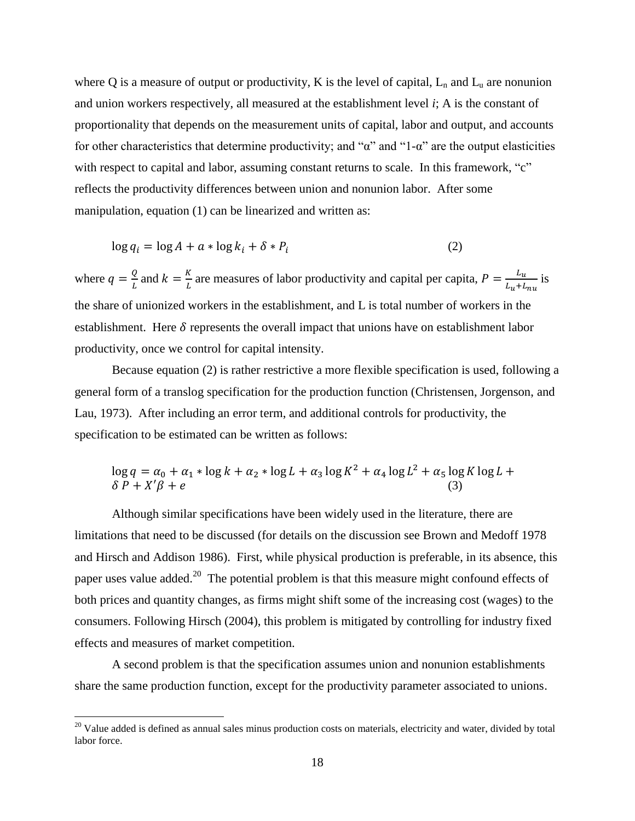where Q is a measure of output or productivity, K is the level of capital,  $L_n$  and  $L_u$  are nonunion and union workers respectively, all measured at the establishment level *i*; A is the constant of proportionality that depends on the measurement units of capital, labor and output, and accounts for other characteristics that determine productivity; and " $\alpha$ " and "1- $\alpha$ " are the output elasticities with respect to capital and labor, assuming constant returns to scale. In this framework, "c" reflects the productivity differences between union and nonunion labor. After some manipulation, equation (1) can be linearized and written as:

$$
\log q_i = \log A + a * \log k_i + \delta * P_i \tag{2}
$$

where  $q = \frac{Q}{l}$  $\frac{Q}{L}$  and  $k = \frac{K}{L}$  $\frac{K}{L}$  are measures of labor productivity and capital per capita,  $P = \frac{L}{L_u + L}$  $\frac{L_u}{L_u + L_{nu}}$  is the share of unionized workers in the establishment, and L is total number of workers in the establishment. Here  $\delta$  represents the overall impact that unions have on establishment labor productivity, once we control for capital intensity.

Because equation (2) is rather restrictive a more flexible specification is used, following a general form of a translog specification for the production function (Christensen, Jorgenson, and Lau, 1973). After including an error term, and additional controls for productivity, the specification to be estimated can be written as follows:

$$
\log q = \alpha_0 + \alpha_1 * \log k + \alpha_2 * \log L + \alpha_3 \log K^2 + \alpha_4 \log L^2 + \alpha_5 \log K \log L + \delta P + X'\beta + e \tag{3}
$$

Although similar specifications have been widely used in the literature, there are limitations that need to be discussed (for details on the discussion see Brown and Medoff 1978 and Hirsch and Addison 1986). First, while physical production is preferable, in its absence, this paper uses value added.<sup>20</sup> The potential problem is that this measure might confound effects of both prices and quantity changes, as firms might shift some of the increasing cost (wages) to the consumers. Following Hirsch (2004), this problem is mitigated by controlling for industry fixed effects and measures of market competition.

A second problem is that the specification assumes union and nonunion establishments share the same production function, except for the productivity parameter associated to unions.

 $20$  Value added is defined as annual sales minus production costs on materials, electricity and water, divided by total labor force.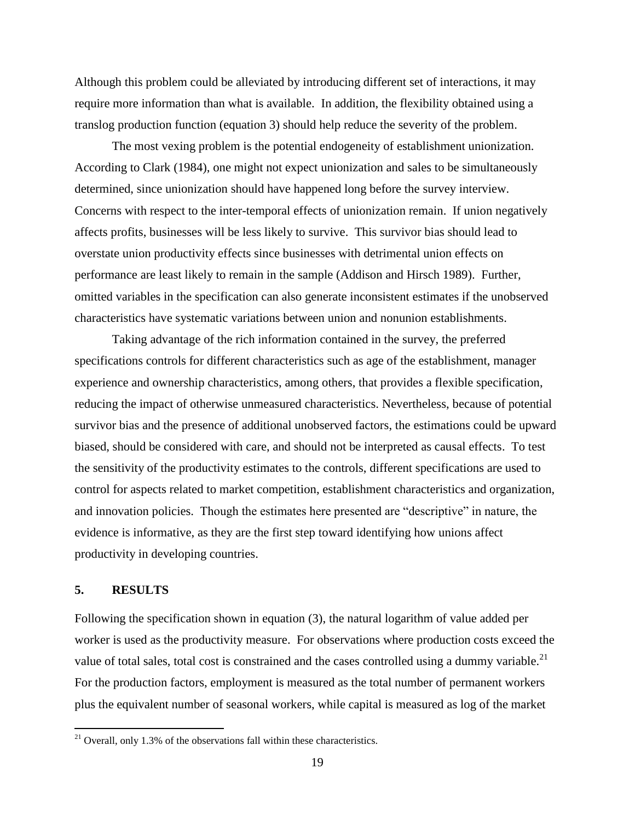Although this problem could be alleviated by introducing different set of interactions, it may require more information than what is available. In addition, the flexibility obtained using a translog production function (equation 3) should help reduce the severity of the problem.

The most vexing problem is the potential endogeneity of establishment unionization. According to Clark (1984), one might not expect unionization and sales to be simultaneously determined, since unionization should have happened long before the survey interview. Concerns with respect to the inter-temporal effects of unionization remain. If union negatively affects profits, businesses will be less likely to survive. This survivor bias should lead to overstate union productivity effects since businesses with detrimental union effects on performance are least likely to remain in the sample (Addison and Hirsch 1989). Further, omitted variables in the specification can also generate inconsistent estimates if the unobserved characteristics have systematic variations between union and nonunion establishments.

Taking advantage of the rich information contained in the survey, the preferred specifications controls for different characteristics such as age of the establishment, manager experience and ownership characteristics, among others, that provides a flexible specification, reducing the impact of otherwise unmeasured characteristics. Nevertheless, because of potential survivor bias and the presence of additional unobserved factors, the estimations could be upward biased, should be considered with care, and should not be interpreted as causal effects. To test the sensitivity of the productivity estimates to the controls, different specifications are used to control for aspects related to market competition, establishment characteristics and organization, and innovation policies. Though the estimates here presented are "descriptive" in nature, the evidence is informative, as they are the first step toward identifying how unions affect productivity in developing countries.

### **5. RESULTS**

 $\overline{a}$ 

Following the specification shown in equation (3), the natural logarithm of value added per worker is used as the productivity measure. For observations where production costs exceed the value of total sales, total cost is constrained and the cases controlled using a dummy variable. $^{21}$ For the production factors, employment is measured as the total number of permanent workers plus the equivalent number of seasonal workers, while capital is measured as log of the market

 $^{21}$  Overall, only 1.3% of the observations fall within these characteristics.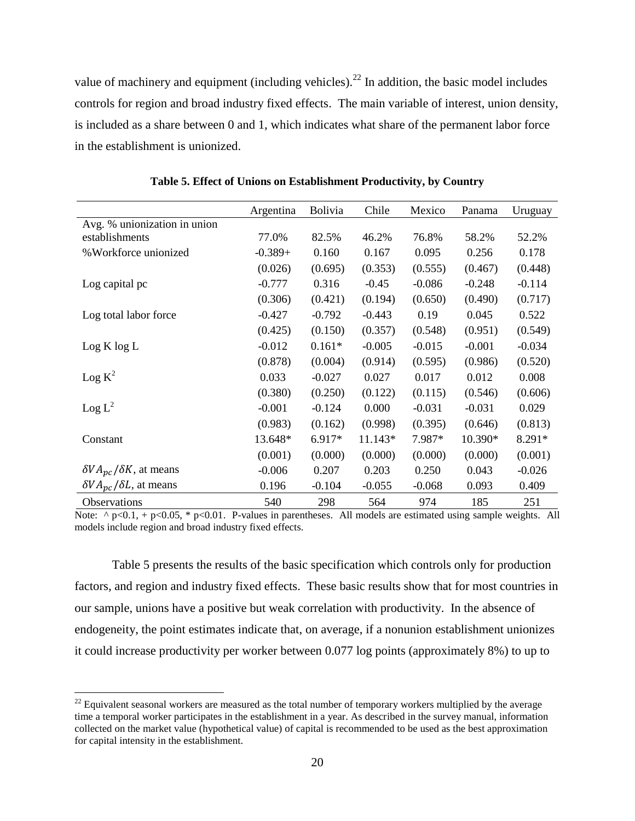value of machinery and equipment (including vehicles).<sup>22</sup> In addition, the basic model includes controls for region and broad industry fixed effects. The main variable of interest, union density, is included as a share between 0 and 1, which indicates what share of the permanent labor force in the establishment is unionized.

|                                                | Argentina | <b>Bolivia</b> | Chile    | Mexico   | Panama   | Uruguay  |
|------------------------------------------------|-----------|----------------|----------|----------|----------|----------|
| Avg. % unionization in union                   |           |                |          |          |          |          |
| establishments                                 | 77.0%     | 82.5%          | 46.2%    | 76.8%    | 58.2%    | 52.2%    |
| %Workforce unionized                           | $-0.389+$ | 0.160          | 0.167    | 0.095    | 0.256    | 0.178    |
|                                                | (0.026)   | (0.695)        | (0.353)  | (0.555)  | (0.467)  | (0.448)  |
| Log capital pc                                 | $-0.777$  | 0.316          | $-0.45$  | $-0.086$ | $-0.248$ | $-0.114$ |
|                                                | (0.306)   | (0.421)        | (0.194)  | (0.650)  | (0.490)  | (0.717)  |
| Log total labor force                          | $-0.427$  | $-0.792$       | $-0.443$ | 0.19     | 0.045    | 0.522    |
|                                                | (0.425)   | (0.150)        | (0.357)  | (0.548)  | (0.951)  | (0.549)  |
| Log K log L                                    | $-0.012$  | $0.161*$       | $-0.005$ | $-0.015$ | $-0.001$ | $-0.034$ |
|                                                | (0.878)   | (0.004)        | (0.914)  | (0.595)  | (0.986)  | (0.520)  |
| Log K <sup>2</sup>                             | 0.033     | $-0.027$       | 0.027    | 0.017    | 0.012    | 0.008    |
|                                                | (0.380)   | (0.250)        | (0.122)  | (0.115)  | (0.546)  | (0.606)  |
| $\text{Log } L^2$                              | $-0.001$  | $-0.124$       | 0.000    | $-0.031$ | $-0.031$ | 0.029    |
|                                                | (0.983)   | (0.162)        | (0.998)  | (0.395)  | (0.646)  | (0.813)  |
| Constant                                       | 13.648*   | 6.917*         | 11.143*  | 7.987*   | 10.390*  | 8.291*   |
|                                                | (0.001)   | (0.000)        | (0.000)  | (0.000)  | (0.000)  | (0.001)  |
| $\delta V A_{\text{nc}} / \delta K$ , at means | $-0.006$  | 0.207          | 0.203    | 0.250    | 0.043    | $-0.026$ |
| $\delta V A_{nc}/\delta L$ , at means          | 0.196     | $-0.104$       | $-0.055$ | $-0.068$ | 0.093    | 0.409    |
| Observations                                   | 540       | 298            | 564      | 974      | 185      | 251      |

**Table 5. Effect of Unions on Establishment Productivity, by Country**

Note:  $\wedge$  p<0.1, + p<0.05,  $*$  p<0.01. P-values in parentheses. All models are estimated using sample weights. All models include region and broad industry fixed effects.

Table 5 presents the results of the basic specification which controls only for production factors, and region and industry fixed effects. These basic results show that for most countries in our sample, unions have a positive but weak correlation with productivity. In the absence of endogeneity, the point estimates indicate that, on average, if a nonunion establishment unionizes it could increase productivity per worker between 0.077 log points (approximately 8%) to up to

 $^{22}$  Equivalent seasonal workers are measured as the total number of temporary workers multiplied by the average time a temporal worker participates in the establishment in a year. As described in the survey manual, information collected on the market value (hypothetical value) of capital is recommended to be used as the best approximation for capital intensity in the establishment.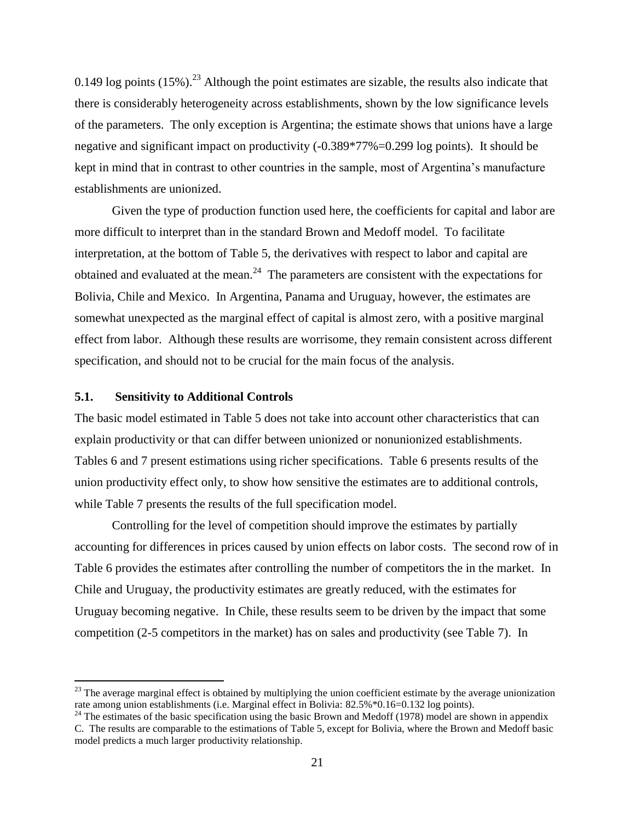0.149 log points  $(15\%)$ <sup>23</sup> Although the point estimates are sizable, the results also indicate that there is considerably heterogeneity across establishments, shown by the low significance levels of the parameters. The only exception is Argentina; the estimate shows that unions have a large negative and significant impact on productivity (-0.389\*77%=0.299 log points). It should be kept in mind that in contrast to other countries in the sample, most of Argentina's manufacture establishments are unionized.

Given the type of production function used here, the coefficients for capital and labor are more difficult to interpret than in the standard Brown and Medoff model. To facilitate interpretation, at the bottom of Table 5, the derivatives with respect to labor and capital are obtained and evaluated at the mean. $^{24}$  The parameters are consistent with the expectations for Bolivia, Chile and Mexico. In Argentina, Panama and Uruguay, however, the estimates are somewhat unexpected as the marginal effect of capital is almost zero, with a positive marginal effect from labor. Although these results are worrisome, they remain consistent across different specification, and should not to be crucial for the main focus of the analysis.

#### **5.1. Sensitivity to Additional Controls**

 $\overline{a}$ 

The basic model estimated in Table 5 does not take into account other characteristics that can explain productivity or that can differ between unionized or nonunionized establishments. Tables 6 and 7 present estimations using richer specifications. Table 6 presents results of the union productivity effect only, to show how sensitive the estimates are to additional controls, while Table 7 presents the results of the full specification model.

Controlling for the level of competition should improve the estimates by partially accounting for differences in prices caused by union effects on labor costs. The second row of in Table 6 provides the estimates after controlling the number of competitors the in the market. In Chile and Uruguay, the productivity estimates are greatly reduced, with the estimates for Uruguay becoming negative. In Chile, these results seem to be driven by the impact that some competition (2-5 competitors in the market) has on sales and productivity (see Table 7). In

 $23$  The average marginal effect is obtained by multiplying the union coefficient estimate by the average unionization rate among union establishments (i.e. Marginal effect in Bolivia: 82.5%\*0.16=0.132 log points).

<sup>&</sup>lt;sup>24</sup> The estimates of the basic specification using the basic Brown and Medoff (1978) model are shown in appendix C. The results are comparable to the estimations of Table 5, except for Bolivia, where the Brown and Medoff basic model predicts a much larger productivity relationship.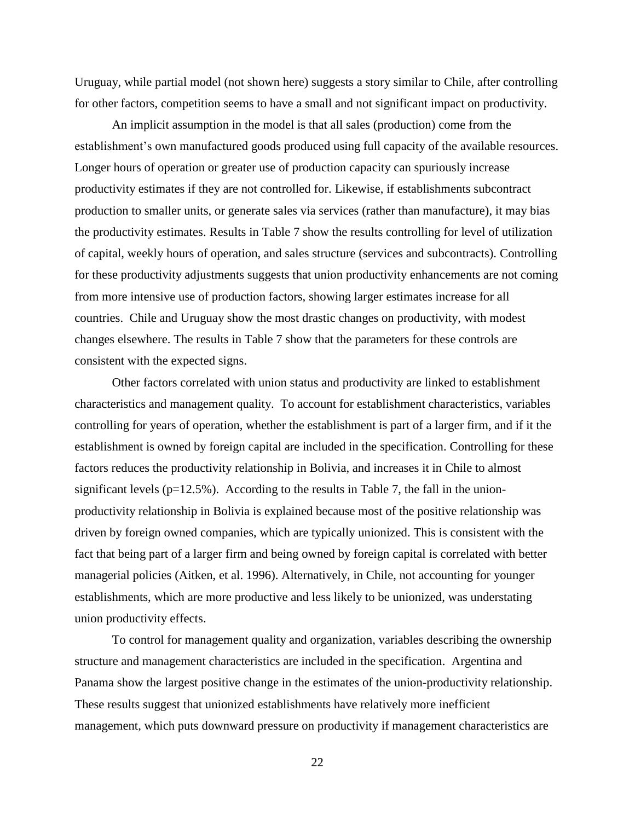Uruguay, while partial model (not shown here) suggests a story similar to Chile, after controlling for other factors, competition seems to have a small and not significant impact on productivity.

An implicit assumption in the model is that all sales (production) come from the establishment's own manufactured goods produced using full capacity of the available resources. Longer hours of operation or greater use of production capacity can spuriously increase productivity estimates if they are not controlled for. Likewise, if establishments subcontract production to smaller units, or generate sales via services (rather than manufacture), it may bias the productivity estimates. Results in Table 7 show the results controlling for level of utilization of capital, weekly hours of operation, and sales structure (services and subcontracts). Controlling for these productivity adjustments suggests that union productivity enhancements are not coming from more intensive use of production factors, showing larger estimates increase for all countries. Chile and Uruguay show the most drastic changes on productivity, with modest changes elsewhere. The results in Table 7 show that the parameters for these controls are consistent with the expected signs.

Other factors correlated with union status and productivity are linked to establishment characteristics and management quality. To account for establishment characteristics, variables controlling for years of operation, whether the establishment is part of a larger firm, and if it the establishment is owned by foreign capital are included in the specification. Controlling for these factors reduces the productivity relationship in Bolivia, and increases it in Chile to almost significant levels ( $p=12.5\%$ ). According to the results in Table 7, the fall in the unionproductivity relationship in Bolivia is explained because most of the positive relationship was driven by foreign owned companies, which are typically unionized. This is consistent with the fact that being part of a larger firm and being owned by foreign capital is correlated with better managerial policies (Aitken, et al. 1996). Alternatively, in Chile, not accounting for younger establishments, which are more productive and less likely to be unionized, was understating union productivity effects.

To control for management quality and organization, variables describing the ownership structure and management characteristics are included in the specification. Argentina and Panama show the largest positive change in the estimates of the union-productivity relationship. These results suggest that unionized establishments have relatively more inefficient management, which puts downward pressure on productivity if management characteristics are

22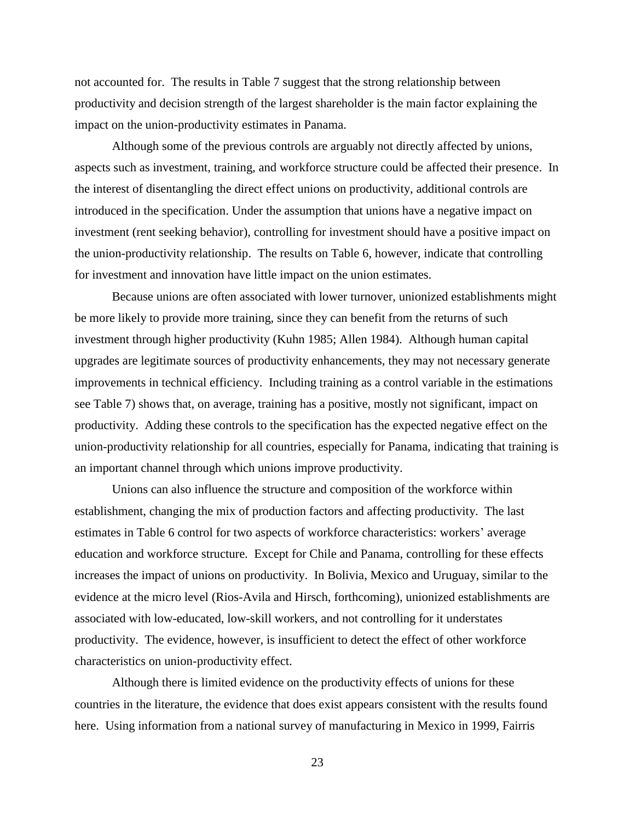not accounted for. The results in Table 7 suggest that the strong relationship between productivity and decision strength of the largest shareholder is the main factor explaining the impact on the union-productivity estimates in Panama.

Although some of the previous controls are arguably not directly affected by unions, aspects such as investment, training, and workforce structure could be affected their presence. In the interest of disentangling the direct effect unions on productivity, additional controls are introduced in the specification. Under the assumption that unions have a negative impact on investment (rent seeking behavior), controlling for investment should have a positive impact on the union-productivity relationship. The results on Table 6, however, indicate that controlling for investment and innovation have little impact on the union estimates.

Because unions are often associated with lower turnover, unionized establishments might be more likely to provide more training, since they can benefit from the returns of such investment through higher productivity (Kuhn 1985; Allen 1984). Although human capital upgrades are legitimate sources of productivity enhancements, they may not necessary generate improvements in technical efficiency. Including training as a control variable in the estimations see Table 7) shows that, on average, training has a positive, mostly not significant, impact on productivity. Adding these controls to the specification has the expected negative effect on the union-productivity relationship for all countries, especially for Panama, indicating that training is an important channel through which unions improve productivity.

Unions can also influence the structure and composition of the workforce within establishment, changing the mix of production factors and affecting productivity. The last estimates in Table 6 control for two aspects of workforce characteristics: workers' average education and workforce structure. Except for Chile and Panama, controlling for these effects increases the impact of unions on productivity. In Bolivia, Mexico and Uruguay, similar to the evidence at the micro level (Rios-Avila and Hirsch, forthcoming), unionized establishments are associated with low-educated, low-skill workers, and not controlling for it understates productivity. The evidence, however, is insufficient to detect the effect of other workforce characteristics on union-productivity effect.

Although there is limited evidence on the productivity effects of unions for these countries in the literature, the evidence that does exist appears consistent with the results found here. Using information from a national survey of manufacturing in Mexico in 1999, Fairris

23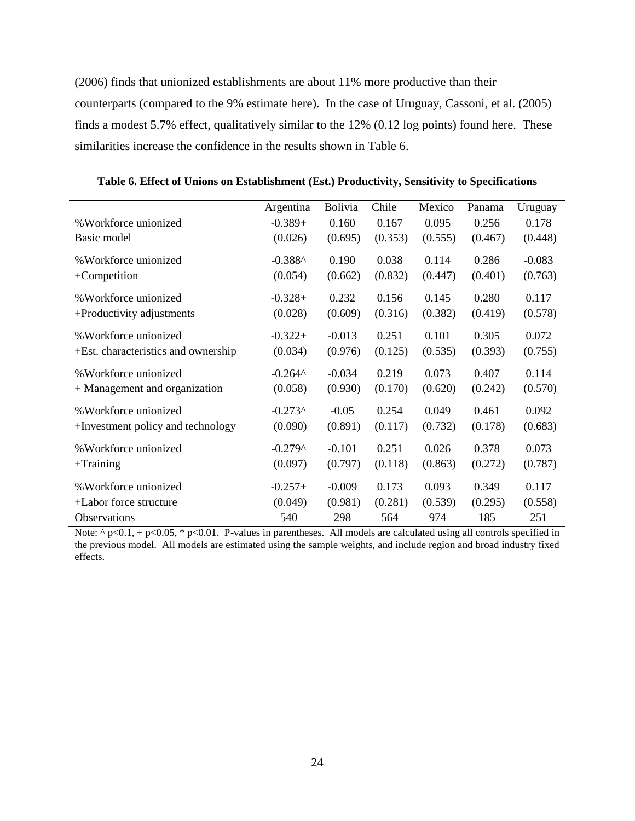(2006) finds that unionized establishments are about 11% more productive than their counterparts (compared to the 9% estimate here). In the case of Uruguay, Cassoni, et al. (2005) finds a modest 5.7% effect, qualitatively similar to the 12% (0.12 log points) found here. These similarities increase the confidence in the results shown in Table 6.

|                                     | Argentina        | Bolivia  | Chile   | Mexico  | Panama  | Uruguay  |
|-------------------------------------|------------------|----------|---------|---------|---------|----------|
| % Workforce unionized               | $-0.389+$        | 0.160    | 0.167   | 0.095   | 0.256   | 0.178    |
| Basic model                         | (0.026)          | (0.695)  | (0.353) | (0.555) | (0.467) | (0.448)  |
| % Workforce unionized               | $-0.388^$        | 0.190    | 0.038   | 0.114   | 0.286   | $-0.083$ |
|                                     |                  |          |         |         |         |          |
| $+$ Competition                     | (0.054)          | (0.662)  | (0.832) | (0.447) | (0.401) | (0.763)  |
| % Workforce unionized               | $-0.328+$        | 0.232    | 0.156   | 0.145   | 0.280   | 0.117    |
| +Productivity adjustments           | (0.028)          | (0.609)  | (0.316) | (0.382) | (0.419) | (0.578)  |
|                                     |                  |          |         |         |         |          |
| % Workforce unionized               | $-0.322+$        | $-0.013$ | 0.251   | 0.101   | 0.305   | 0.072    |
| +Est. characteristics and ownership | (0.034)          | (0.976)  | (0.125) | (0.535) | (0.393) | (0.755)  |
| % Workforce unionized               | $-0.264^{\circ}$ | $-0.034$ | 0.219   | 0.073   | 0.407   | 0.114    |
| + Management and organization       | (0.058)          | (0.930)  | (0.170) | (0.620) | (0.242) | (0.570)  |
|                                     |                  |          |         |         |         |          |
| % Workforce unionized               | $-0.273^$        | $-0.05$  | 0.254   | 0.049   | 0.461   | 0.092    |
| +Investment policy and technology   | (0.090)          | (0.891)  | (0.117) | (0.732) | (0.178) | (0.683)  |
|                                     |                  |          |         |         |         |          |
| % Workforce unionized               | $-0.279^$        | $-0.101$ | 0.251   | 0.026   | 0.378   | 0.073    |
| $+$ Training                        | (0.097)          | (0.797)  | (0.118) | (0.863) | (0.272) | (0.787)  |
|                                     |                  | $-0.009$ | 0.173   | 0.093   | 0.349   | 0.117    |
| % Workforce unionized               | $-0.257+$        |          |         |         |         |          |
| +Labor force structure              | (0.049)          | (0.981)  | (0.281) | (0.539) | (0.295) | (0.558)  |
| Observations                        | 540              | 298      | 564     | 974     | 185     | 251      |

**Table 6. Effect of Unions on Establishment (Est.) Productivity, Sensitivity to Specifications**

Note:  $\gamma$  p<0.1, + p<0.05, \* p<0.01. P-values in parentheses. All models are calculated using all controls specified in the previous model. All models are estimated using the sample weights, and include region and broad industry fixed effects.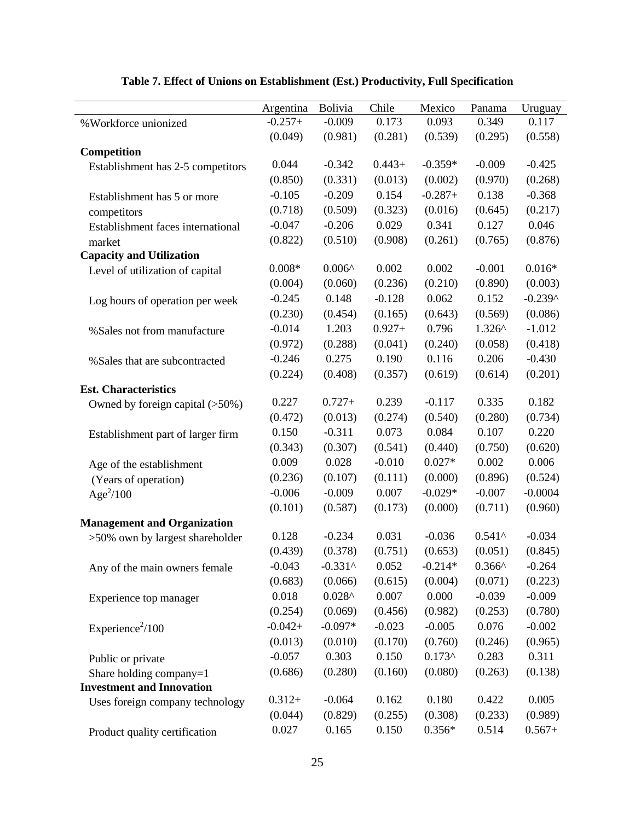|                                    | Argentina | Bolivia            | Chile    | Mexico    | Panama           | Uruguay   |
|------------------------------------|-----------|--------------------|----------|-----------|------------------|-----------|
| % Workforce unionized              | $-0.257+$ | $-0.009$           | 0.173    | 0.093     | 0.349            | 0.117     |
|                                    | (0.049)   | (0.981)            | (0.281)  | (0.539)   | (0.295)          | (0.558)   |
| Competition                        |           |                    |          |           |                  |           |
| Establishment has 2-5 competitors  | 0.044     | $-0.342$           | $0.443+$ | $-0.359*$ | $-0.009$         | $-0.425$  |
|                                    | (0.850)   | (0.331)            | (0.013)  | (0.002)   | (0.970)          | (0.268)   |
| Establishment has 5 or more        | $-0.105$  | $-0.209$           | 0.154    | $-0.287+$ | 0.138            | $-0.368$  |
| competitors                        | (0.718)   | (0.509)            | (0.323)  | (0.016)   | (0.645)          | (0.217)   |
| Establishment faces international  | $-0.047$  | $-0.206$           | 0.029    | 0.341     | 0.127            | 0.046     |
| market                             | (0.822)   | (0.510)            | (0.908)  | (0.261)   | (0.765)          | (0.876)   |
| <b>Capacity and Utilization</b>    |           |                    |          |           |                  |           |
| Level of utilization of capital    | $0.008*$  | $0.006^{\text{A}}$ | 0.002    | 0.002     | $-0.001$         | $0.016*$  |
|                                    | (0.004)   | (0.060)            | (0.236)  | (0.210)   | (0.890)          | (0.003)   |
| Log hours of operation per week    | $-0.245$  | 0.148              | $-0.128$ | 0.062     | 0.152            | $-0.239^$ |
|                                    | (0.230)   | (0.454)            | (0.165)  | (0.643)   | (0.569)          | (0.086)   |
| % Sales not from manufacture       | $-0.014$  | 1.203              | $0.927+$ | 0.796     | $1.326^{\wedge}$ | $-1.012$  |
|                                    | (0.972)   | (0.288)            | (0.041)  | (0.240)   | (0.058)          | (0.418)   |
| % Sales that are subcontracted     | $-0.246$  | 0.275              | 0.190    | 0.116     | 0.206            | $-0.430$  |
|                                    | (0.224)   | (0.408)            | (0.357)  | (0.619)   | (0.614)          | (0.201)   |
| <b>Est. Characteristics</b>        |           |                    |          |           |                  |           |
| Owned by foreign capital (>50%)    | 0.227     | $0.727+$           | 0.239    | $-0.117$  | 0.335            | 0.182     |
|                                    | (0.472)   | (0.013)            | (0.274)  | (0.540)   | (0.280)          | (0.734)   |
| Establishment part of larger firm  | 0.150     | $-0.311$           | 0.073    | 0.084     | 0.107            | 0.220     |
|                                    | (0.343)   | (0.307)            | (0.541)  | (0.440)   | (0.750)          | (0.620)   |
| Age of the establishment           | 0.009     | 0.028              | $-0.010$ | $0.027*$  | 0.002            | 0.006     |
| (Years of operation)               | (0.236)   | (0.107)            | (0.111)  | (0.000)   | (0.896)          | (0.524)   |
| Age <sup>2</sup> /100              | $-0.006$  | $-0.009$           | 0.007    | $-0.029*$ | $-0.007$         | $-0.0004$ |
|                                    | (0.101)   | (0.587)            | (0.173)  | (0.000)   | (0.711)          | (0.960)   |
| <b>Management and Organization</b> |           |                    |          |           |                  |           |
| >50% own by largest shareholder    | 0.128     | $-0.234$           | 0.031    | $-0.036$  | $0.541^$         | $-0.034$  |
|                                    | (0.439)   | (0.378)            | (0.751)  | (0.653)   | (0.051)          | (0.845)   |
| Any of the main owners female      | $-0.043$  | $-0.331$ ^         | 0.052    | $-0.214*$ | $0.366^{\wedge}$ | $-0.264$  |
|                                    | (0.683)   | (0.066)            | (0.615)  | (0.004)   | (0.071)          | (0.223)   |
| Experience top manager             | 0.018     | $0.028^{\wedge}$   | 0.007    | 0.000     | $-0.039$         | $-0.009$  |
|                                    | (0.254)   | (0.069)            | (0.456)  | (0.982)   | (0.253)          | (0.780)   |
| Experience <sup>2</sup> /100       | $-0.042+$ | $-0.097*$          | $-0.023$ | $-0.005$  | 0.076            | $-0.002$  |
|                                    | (0.013)   | (0.010)            | (0.170)  | (0.760)   | (0.246)          | (0.965)   |
| Public or private                  | $-0.057$  | 0.303              | 0.150    | $0.173^$  | 0.283            | 0.311     |
| Share holding company=1            | (0.686)   | (0.280)            | (0.160)  | (0.080)   | (0.263)          | (0.138)   |
| <b>Investment and Innovation</b>   |           |                    |          |           |                  |           |
| Uses foreign company technology    | $0.312+$  | $-0.064$           | 0.162    | 0.180     | 0.422            | 0.005     |
|                                    | (0.044)   | (0.829)            | (0.255)  | (0.308)   | (0.233)          | (0.989)   |
| Product quality certification      | 0.027     | 0.165              | 0.150    | $0.356*$  | 0.514            | $0.567+$  |

## **Table 7. Effect of Unions on Establishment (Est.) Productivity, Full Specification**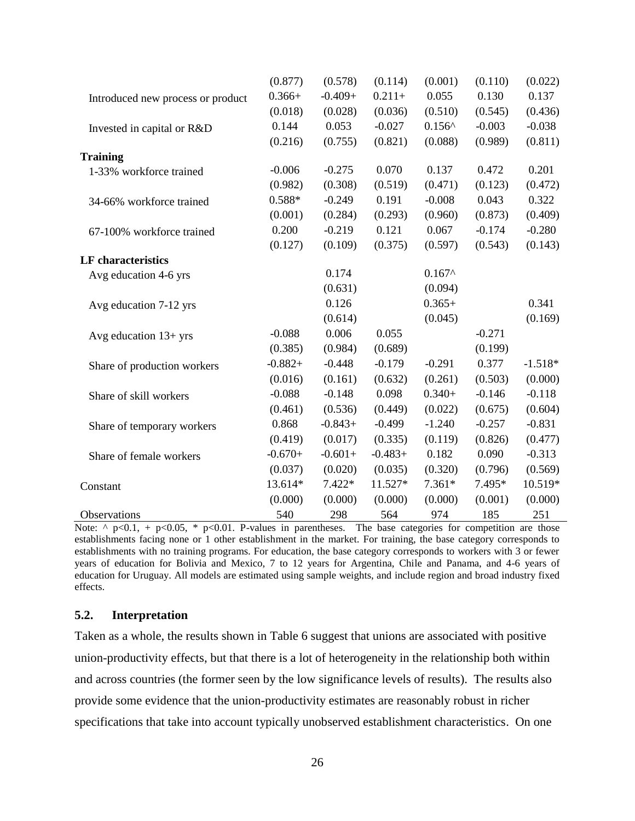|                                   | (0.877)   | (0.578)   | (0.114)   | (0.001)          | (0.110)  | (0.022)   |
|-----------------------------------|-----------|-----------|-----------|------------------|----------|-----------|
| Introduced new process or product | $0.366+$  | $-0.409+$ | $0.211 +$ | 0.055            | 0.130    | 0.137     |
|                                   | (0.018)   | (0.028)   | (0.036)   | (0.510)          | (0.545)  | (0.436)   |
| Invested in capital or R&D        | 0.144     | 0.053     | $-0.027$  | $0.156^{\wedge}$ | $-0.003$ | $-0.038$  |
|                                   | (0.216)   | (0.755)   | (0.821)   | (0.088)          | (0.989)  | (0.811)   |
| <b>Training</b>                   |           |           |           |                  |          |           |
| 1-33% workforce trained           | $-0.006$  | $-0.275$  | 0.070     | 0.137            | 0.472    | 0.201     |
|                                   | (0.982)   | (0.308)   | (0.519)   | (0.471)          | (0.123)  | (0.472)   |
| 34-66% workforce trained          | $0.588*$  | $-0.249$  | 0.191     | $-0.008$         | 0.043    | 0.322     |
|                                   | (0.001)   | (0.284)   | (0.293)   | (0.960)          | (0.873)  | (0.409)   |
| 67-100% workforce trained         | 0.200     | $-0.219$  | 0.121     | 0.067            | $-0.174$ | $-0.280$  |
|                                   | (0.127)   | (0.109)   | (0.375)   | (0.597)          | (0.543)  | (0.143)   |
| <b>LF</b> characteristics         |           |           |           |                  |          |           |
| Avg education 4-6 yrs             |           | 0.174     |           | $0.167^$         |          |           |
|                                   |           | (0.631)   |           | (0.094)          |          |           |
| Avg education 7-12 yrs            |           | 0.126     |           | $0.365+$         |          | 0.341     |
|                                   |           | (0.614)   |           | (0.045)          |          | (0.169)   |
| Avg education $13+$ yrs           | $-0.088$  | 0.006     | 0.055     |                  | $-0.271$ |           |
|                                   | (0.385)   | (0.984)   | (0.689)   |                  | (0.199)  |           |
| Share of production workers       | $-0.882+$ | $-0.448$  | $-0.179$  | $-0.291$         | 0.377    | $-1.518*$ |
|                                   | (0.016)   | (0.161)   | (0.632)   | (0.261)          | (0.503)  | (0.000)   |
| Share of skill workers            | $-0.088$  | $-0.148$  | 0.098     | $0.340+$         | $-0.146$ | $-0.118$  |
|                                   | (0.461)   | (0.536)   | (0.449)   | (0.022)          | (0.675)  | (0.604)   |
| Share of temporary workers        | 0.868     | $-0.843+$ | $-0.499$  | $-1.240$         | $-0.257$ | $-0.831$  |
|                                   | (0.419)   | (0.017)   | (0.335)   | (0.119)          | (0.826)  | (0.477)   |
| Share of female workers           | $-0.670+$ | $-0.601+$ | $-0.483+$ | 0.182            | 0.090    | $-0.313$  |
|                                   | (0.037)   | (0.020)   | (0.035)   | (0.320)          | (0.796)  | (0.569)   |
| Constant                          | 13.614*   | $7.422*$  | 11.527*   | $7.361*$         | 7.495*   | 10.519*   |
|                                   | (0.000)   | (0.000)   | (0.000)   | (0.000)          | (0.001)  | (0.000)   |
| Observations                      | 540       | 298       | 564       | 974              | 185      | 251       |

Note:  $\land$  p<0.1, + p<0.05, \* p<0.01. P-values in parentheses. The base categories for competition are those establishments facing none or 1 other establishment in the market. For training, the base category corresponds to establishments with no training programs. For education, the base category corresponds to workers with 3 or fewer years of education for Bolivia and Mexico, 7 to 12 years for Argentina, Chile and Panama, and 4-6 years of education for Uruguay. All models are estimated using sample weights, and include region and broad industry fixed effects.

#### **5.2. Interpretation**

Taken as a whole, the results shown in Table 6 suggest that unions are associated with positive union-productivity effects, but that there is a lot of heterogeneity in the relationship both within and across countries (the former seen by the low significance levels of results). The results also provide some evidence that the union-productivity estimates are reasonably robust in richer specifications that take into account typically unobserved establishment characteristics. On one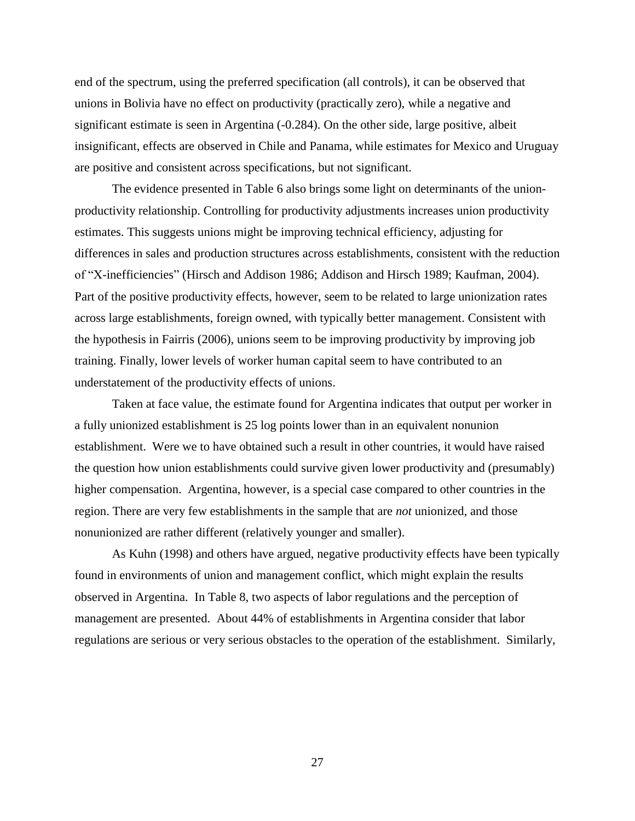end of the spectrum, using the preferred specification (all controls), it can be observed that unions in Bolivia have no effect on productivity (practically zero), while a negative and significant estimate is seen in Argentina (-0.284). On the other side, large positive, albeit insignificant, effects are observed in Chile and Panama, while estimates for Mexico and Uruguay are positive and consistent across specifications, but not significant.

The evidence presented in Table 6 also brings some light on determinants of the unionproductivity relationship. Controlling for productivity adjustments increases union productivity estimates. This suggests unions might be improving technical efficiency, adjusting for differences in sales and production structures across establishments, consistent with the reduction of "X-inefficiencies" (Hirsch and Addison 1986; Addison and Hirsch 1989; Kaufman, 2004). Part of the positive productivity effects, however, seem to be related to large unionization rates across large establishments, foreign owned, with typically better management. Consistent with the hypothesis in Fairris (2006), unions seem to be improving productivity by improving job training. Finally, lower levels of worker human capital seem to have contributed to an understatement of the productivity effects of unions.

Taken at face value, the estimate found for Argentina indicates that output per worker in a fully unionized establishment is 25 log points lower than in an equivalent nonunion establishment. Were we to have obtained such a result in other countries, it would have raised the question how union establishments could survive given lower productivity and (presumably) higher compensation. Argentina, however, is a special case compared to other countries in the region. There are very few establishments in the sample that are *not* unionized, and those nonunionized are rather different (relatively younger and smaller).

As Kuhn (1998) and others have argued, negative productivity effects have been typically found in environments of union and management conflict, which might explain the results observed in Argentina. In Table 8, two aspects of labor regulations and the perception of management are presented. About 44% of establishments in Argentina consider that labor regulations are serious or very serious obstacles to the operation of the establishment. Similarly,

27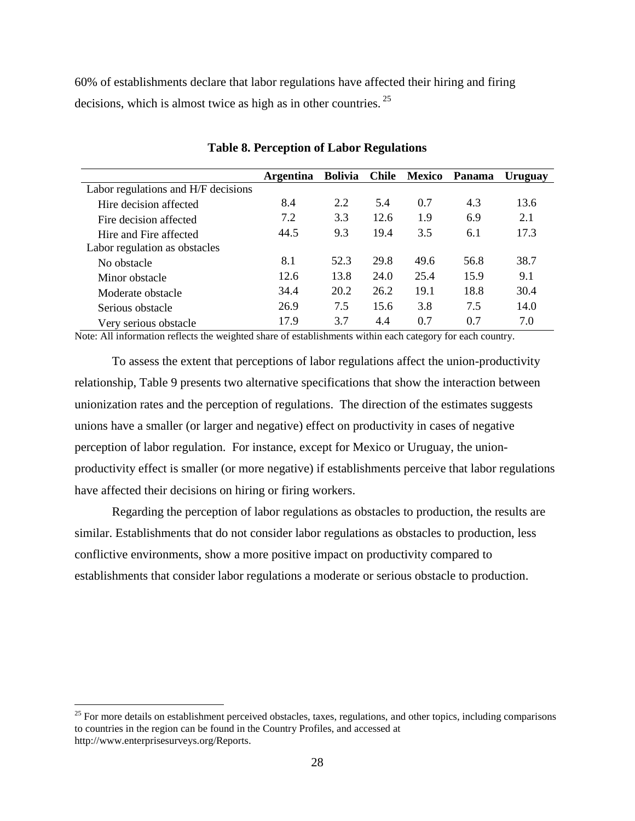60% of establishments declare that labor regulations have affected their hiring and firing decisions, which is almost twice as high as in other countries.  $2^5$ 

|                                     | <b>Argentina</b> | <b>Bolivia</b> | <b>Chile</b> | Mexico | Panama | Uruguay |
|-------------------------------------|------------------|----------------|--------------|--------|--------|---------|
| Labor regulations and H/F decisions |                  |                |              |        |        |         |
| Hire decision affected              | 8.4              | 2.2            | 5.4          | 0.7    | 4.3    | 13.6    |
| Fire decision affected              | 7.2              | 3.3            | 12.6         | 1.9    | 6.9    | 2.1     |
| Hire and Fire affected              | 44.5             | 9.3            | 19.4         | 3.5    | 6.1    | 17.3    |
| Labor regulation as obstacles       |                  |                |              |        |        |         |
| No obstacle                         | 8.1              | 52.3           | 29.8         | 49.6   | 56.8   | 38.7    |
| Minor obstacle                      | 12.6             | 13.8           | 24.0         | 25.4   | 15.9   | 9.1     |
| Moderate obstacle                   | 34.4             | 20.2           | 26.2         | 19.1   | 18.8   | 30.4    |
| Serious obstacle                    | 26.9             | 7.5            | 15.6         | 3.8    | 7.5    | 14.0    |
| Very serious obstacle               | 17.9             | 3.7            | 4.4          | 0.7    | 0.7    | 7.0     |

#### **Table 8. Perception of Labor Regulations**

Note: All information reflects the weighted share of establishments within each category for each country.

To assess the extent that perceptions of labor regulations affect the union-productivity relationship, Table 9 presents two alternative specifications that show the interaction between unionization rates and the perception of regulations. The direction of the estimates suggests unions have a smaller (or larger and negative) effect on productivity in cases of negative perception of labor regulation. For instance, except for Mexico or Uruguay, the unionproductivity effect is smaller (or more negative) if establishments perceive that labor regulations have affected their decisions on hiring or firing workers.

Regarding the perception of labor regulations as obstacles to production, the results are similar. Establishments that do not consider labor regulations as obstacles to production, less conflictive environments, show a more positive impact on productivity compared to establishments that consider labor regulations a moderate or serious obstacle to production.

<sup>&</sup>lt;sup>25</sup> For more details on establishment perceived obstacles, taxes, regulations, and other topics, including comparisons to countries in the region can be found in the Country Profiles, and accessed at [http://www.enterprisesurveys.org/Reports.](http://www.enterprisesurveys.org/Reports)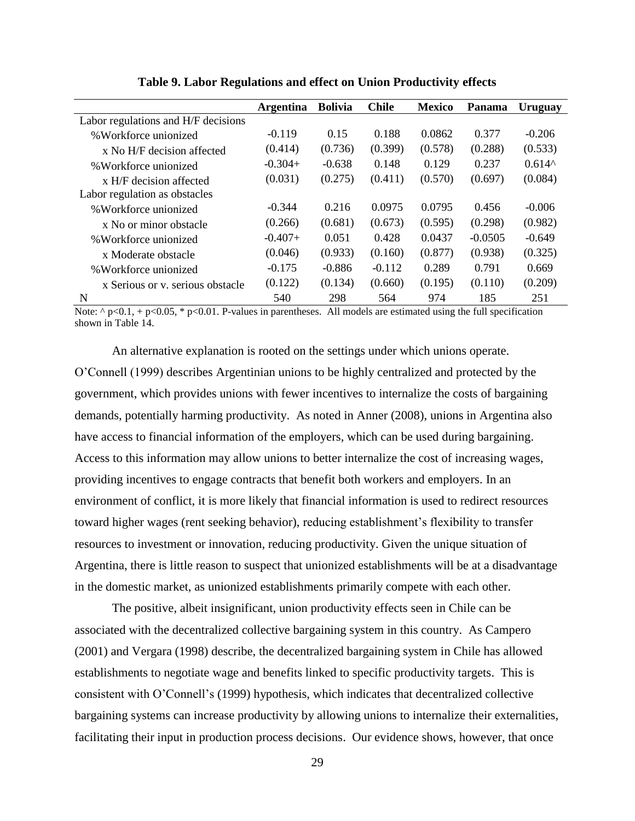|                                     | <b>Argentina</b> | <b>Bolivia</b> | <b>Chile</b> | <b>Mexico</b> | Panama    | Uruguay  |
|-------------------------------------|------------------|----------------|--------------|---------------|-----------|----------|
| Labor regulations and H/F decisions |                  |                |              |               |           |          |
| %Workforce unionized                | $-0.119$         | 0.15           | 0.188        | 0.0862        | 0.377     | $-0.206$ |
| x No H/F decision affected          | (0.414)          | (0.736)        | (0.399)      | (0.578)       | (0.288)   | (0.533)  |
| % Workforce unionized               | $-0.304+$        | $-0.638$       | 0.148        | 0.129         | 0.237     | $0.614^$ |
| x H/F decision affected             | (0.031)          | (0.275)        | (0.411)      | (0.570)       | (0.697)   | (0.084)  |
| Labor regulation as obstacles       |                  |                |              |               |           |          |
| % Workforce unionized               | $-0.344$         | 0.216          | 0.0975       | 0.0795        | 0.456     | $-0.006$ |
| x No or minor obstacle              | (0.266)          | (0.681)        | (0.673)      | (0.595)       | (0.298)   | (0.982)  |
| % Workforce unionized               | $-0.407+$        | 0.051          | 0.428        | 0.0437        | $-0.0505$ | $-0.649$ |
| x Moderate obstacle                 | (0.046)          | (0.933)        | (0.160)      | (0.877)       | (0.938)   | (0.325)  |
| % Workforce unionized               | $-0.175$         | $-0.886$       | $-0.112$     | 0.289         | 0.791     | 0.669    |
| x Serious or y. serious obstacle    | (0.122)          | (0.134)        | (0.660)      | (0.195)       | (0.110)   | (0.209)  |
| N                                   | 540              | 298            | 564          | 974           | 185       | 251      |

**Table 9. Labor Regulations and effect on Union Productivity effects**

Note:  $\gamma$  p<0.1, + p<0.05, \* p<0.01. P-values in parentheses. All models are estimated using the full specification shown in Table 14.

An alternative explanation is rooted on the settings under which unions operate. O'Connell (1999) describes Argentinian unions to be highly centralized and protected by the government, which provides unions with fewer incentives to internalize the costs of bargaining demands, potentially harming productivity. As noted in Anner (2008), unions in Argentina also have access to financial information of the employers, which can be used during bargaining. Access to this information may allow unions to better internalize the cost of increasing wages, providing incentives to engage contracts that benefit both workers and employers. In an environment of conflict, it is more likely that financial information is used to redirect resources toward higher wages (rent seeking behavior), reducing establishment's flexibility to transfer resources to investment or innovation, reducing productivity. Given the unique situation of Argentina, there is little reason to suspect that unionized establishments will be at a disadvantage in the domestic market, as unionized establishments primarily compete with each other.

The positive, albeit insignificant, union productivity effects seen in Chile can be associated with the decentralized collective bargaining system in this country. As Campero (2001) and Vergara (1998) describe, the decentralized bargaining system in Chile has allowed establishments to negotiate wage and benefits linked to specific productivity targets. This is consistent with O'Connell's (1999) hypothesis, which indicates that decentralized collective bargaining systems can increase productivity by allowing unions to internalize their externalities, facilitating their input in production process decisions. Our evidence shows, however, that once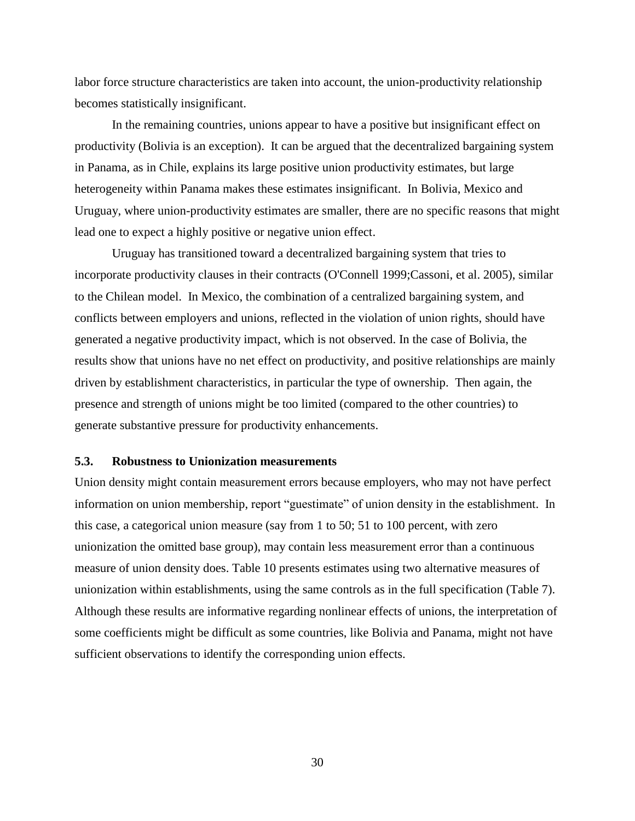labor force structure characteristics are taken into account, the union-productivity relationship becomes statistically insignificant.

In the remaining countries, unions appear to have a positive but insignificant effect on productivity (Bolivia is an exception). It can be argued that the decentralized bargaining system in Panama, as in Chile, explains its large positive union productivity estimates, but large heterogeneity within Panama makes these estimates insignificant. In Bolivia, Mexico and Uruguay, where union-productivity estimates are smaller, there are no specific reasons that might lead one to expect a highly positive or negative union effect.

Uruguay has transitioned toward a decentralized bargaining system that tries to incorporate productivity clauses in their contracts (O'Connell 1999;Cassoni, et al. 2005), similar to the Chilean model. In Mexico, the combination of a centralized bargaining system, and conflicts between employers and unions, reflected in the violation of union rights, should have generated a negative productivity impact, which is not observed. In the case of Bolivia, the results show that unions have no net effect on productivity, and positive relationships are mainly driven by establishment characteristics, in particular the type of ownership. Then again, the presence and strength of unions might be too limited (compared to the other countries) to generate substantive pressure for productivity enhancements.

#### **5.3. Robustness to Unionization measurements**

Union density might contain measurement errors because employers, who may not have perfect information on union membership, report "guestimate" of union density in the establishment. In this case, a categorical union measure (say from 1 to 50; 51 to 100 percent, with zero unionization the omitted base group), may contain less measurement error than a continuous measure of union density does. Table 10 presents estimates using two alternative measures of unionization within establishments, using the same controls as in the full specification (Table 7). Although these results are informative regarding nonlinear effects of unions, the interpretation of some coefficients might be difficult as some countries, like Bolivia and Panama, might not have sufficient observations to identify the corresponding union effects.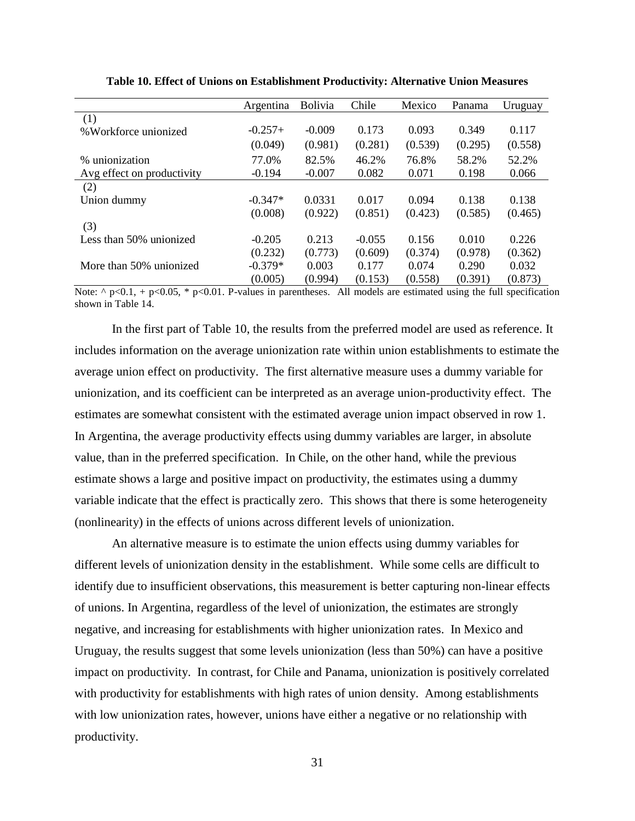|                            | Argentina | <b>Bolivia</b> | Chile    | Mexico  | Panama  | Uruguay |
|----------------------------|-----------|----------------|----------|---------|---------|---------|
| (1)                        |           |                |          |         |         |         |
| % Workforce unionized      | $-0.257+$ | $-0.009$       | 0.173    | 0.093   | 0.349   | 0.117   |
|                            | (0.049)   | (0.981)        | (0.281)  | (0.539) | (0.295) | (0.558) |
| % unionization             | 77.0%     | 82.5%          | 46.2%    | 76.8%   | 58.2%   | 52.2%   |
| Avg effect on productivity | $-0.194$  | $-0.007$       | 0.082    | 0.071   | 0.198   | 0.066   |
| (2)                        |           |                |          |         |         |         |
| Union dummy                | $-0.347*$ | 0.0331         | 0.017    | 0.094   | 0.138   | 0.138   |
|                            | (0.008)   | (0.922)        | (0.851)  | (0.423) | (0.585) | (0.465) |
| (3)                        |           |                |          |         |         |         |
| Less than 50% unionized    | $-0.205$  | 0.213          | $-0.055$ | 0.156   | 0.010   | 0.226   |
|                            | (0.232)   | (0.773)        | (0.609)  | (0.374) | (0.978) | (0.362) |
| More than 50% unionized    | $-0.379*$ | 0.003          | 0.177    | 0.074   | 0.290   | 0.032   |
|                            | (0.005)   | (0.994)        | (0.153)  | (0.558) | (0.391) | (0.873) |

**Table 10. Effect of Unions on Establishment Productivity: Alternative Union Measures**

Note:  $\gamma$  p<0.1, + p<0.05, \* p<0.01. P-values in parentheses. All models are estimated using the full specification shown in Table 14.

In the first part of Table 10, the results from the preferred model are used as reference. It includes information on the average unionization rate within union establishments to estimate the average union effect on productivity. The first alternative measure uses a dummy variable for unionization, and its coefficient can be interpreted as an average union-productivity effect. The estimates are somewhat consistent with the estimated average union impact observed in row 1. In Argentina, the average productivity effects using dummy variables are larger, in absolute value, than in the preferred specification. In Chile, on the other hand, while the previous estimate shows a large and positive impact on productivity, the estimates using a dummy variable indicate that the effect is practically zero. This shows that there is some heterogeneity (nonlinearity) in the effects of unions across different levels of unionization.

An alternative measure is to estimate the union effects using dummy variables for different levels of unionization density in the establishment. While some cells are difficult to identify due to insufficient observations, this measurement is better capturing non-linear effects of unions. In Argentina, regardless of the level of unionization, the estimates are strongly negative, and increasing for establishments with higher unionization rates. In Mexico and Uruguay, the results suggest that some levels unionization (less than 50%) can have a positive impact on productivity. In contrast, for Chile and Panama, unionization is positively correlated with productivity for establishments with high rates of union density. Among establishments with low unionization rates, however, unions have either a negative or no relationship with productivity.

31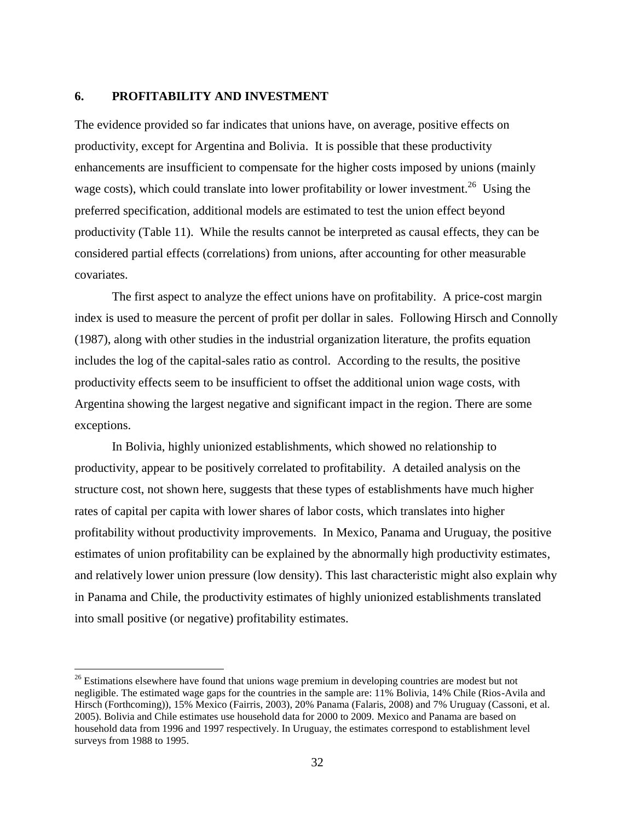#### **6. PROFITABILITY AND INVESTMENT**

 $\overline{a}$ 

The evidence provided so far indicates that unions have, on average, positive effects on productivity, except for Argentina and Bolivia. It is possible that these productivity enhancements are insufficient to compensate for the higher costs imposed by unions (mainly wage costs), which could translate into lower profitability or lower investment.<sup>26</sup> Using the preferred specification, additional models are estimated to test the union effect beyond productivity (Table 11). While the results cannot be interpreted as causal effects, they can be considered partial effects (correlations) from unions, after accounting for other measurable covariates.

The first aspect to analyze the effect unions have on profitability. A price-cost margin index is used to measure the percent of profit per dollar in sales. Following Hirsch and Connolly (1987), along with other studies in the industrial organization literature, the profits equation includes the log of the capital-sales ratio as control. According to the results, the positive productivity effects seem to be insufficient to offset the additional union wage costs, with Argentina showing the largest negative and significant impact in the region. There are some exceptions.

In Bolivia, highly unionized establishments, which showed no relationship to productivity, appear to be positively correlated to profitability. A detailed analysis on the structure cost, not shown here, suggests that these types of establishments have much higher rates of capital per capita with lower shares of labor costs, which translates into higher profitability without productivity improvements. In Mexico, Panama and Uruguay, the positive estimates of union profitability can be explained by the abnormally high productivity estimates, and relatively lower union pressure (low density). This last characteristic might also explain why in Panama and Chile, the productivity estimates of highly unionized establishments translated into small positive (or negative) profitability estimates.

<sup>&</sup>lt;sup>26</sup> Estimations elsewhere have found that unions wage premium in developing countries are modest but not negligible. The estimated wage gaps for the countries in the sample are: 11% Bolivia, 14% Chile (Rios-Avila and Hirsch (Forthcoming)), 15% Mexico (Fairris, 2003), 20% Panama (Falaris, 2008) and 7% Uruguay (Cassoni, et al. 2005). Bolivia and Chile estimates use household data for 2000 to 2009. Mexico and Panama are based on household data from 1996 and 1997 respectively. In Uruguay, the estimates correspond to establishment level surveys from 1988 to 1995.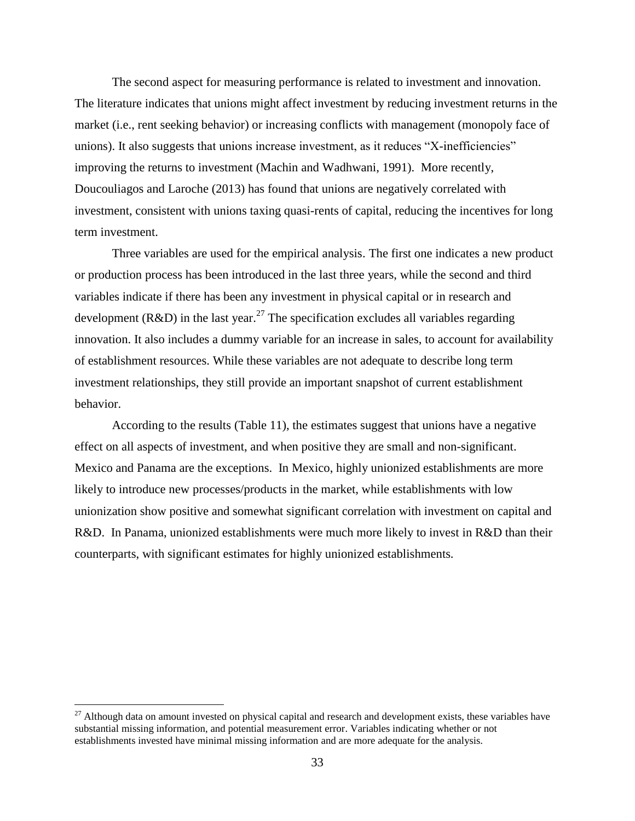The second aspect for measuring performance is related to investment and innovation. The literature indicates that unions might affect investment by reducing investment returns in the market (i.e., rent seeking behavior) or increasing conflicts with management (monopoly face of unions). It also suggests that unions increase investment, as it reduces "X-inefficiencies" improving the returns to investment (Machin and Wadhwani, 1991). More recently, Doucouliagos and Laroche (2013) has found that unions are negatively correlated with investment, consistent with unions taxing quasi-rents of capital, reducing the incentives for long term investment.

Three variables are used for the empirical analysis. The first one indicates a new product or production process has been introduced in the last three years, while the second and third variables indicate if there has been any investment in physical capital or in research and development ( $R&D$ ) in the last year.<sup>27</sup> The specification excludes all variables regarding innovation. It also includes a dummy variable for an increase in sales, to account for availability of establishment resources. While these variables are not adequate to describe long term investment relationships, they still provide an important snapshot of current establishment behavior.

According to the results (Table 11), the estimates suggest that unions have a negative effect on all aspects of investment, and when positive they are small and non-significant. Mexico and Panama are the exceptions. In Mexico, highly unionized establishments are more likely to introduce new processes/products in the market, while establishments with low unionization show positive and somewhat significant correlation with investment on capital and R&D. In Panama, unionized establishments were much more likely to invest in R&D than their counterparts, with significant estimates for highly unionized establishments.

 $27$  Although data on amount invested on physical capital and research and development exists, these variables have substantial missing information, and potential measurement error. Variables indicating whether or not establishments invested have minimal missing information and are more adequate for the analysis.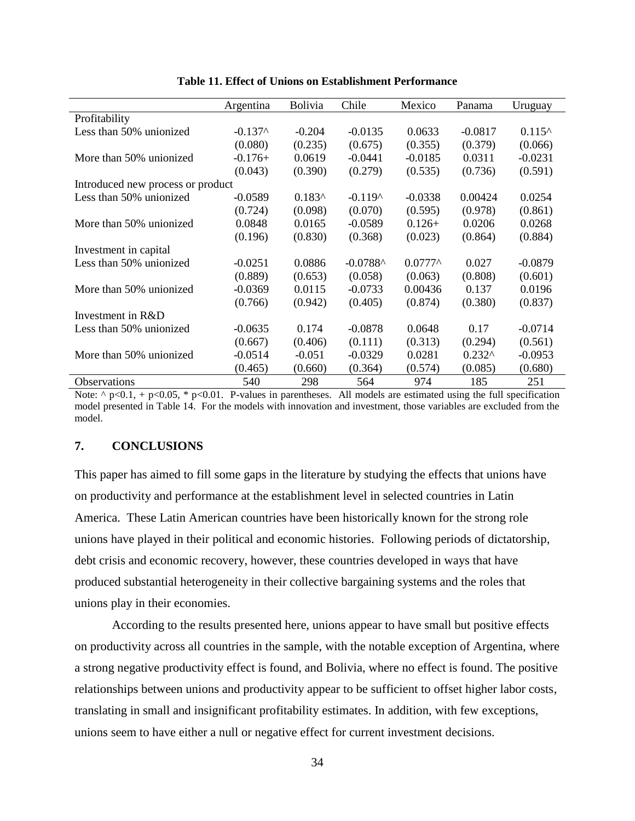|                                   | Argentina | Bolivia  | Chile      | Mexico            | Panama    | Uruguay         |  |  |
|-----------------------------------|-----------|----------|------------|-------------------|-----------|-----------------|--|--|
| Profitability                     |           |          |            |                   |           |                 |  |  |
| Less than 50% unionized           | $-0.137^$ | $-0.204$ | $-0.0135$  | 0.0633            | $-0.0817$ | $0.115^{\circ}$ |  |  |
|                                   | (0.080)   | (0.235)  | (0.675)    | (0.355)           | (0.379)   | (0.066)         |  |  |
| More than 50% unionized           | $-0.176+$ | 0.0619   | $-0.0441$  | $-0.0185$         | 0.0311    | $-0.0231$       |  |  |
|                                   | (0.043)   | (0.390)  | (0.279)    | (0.535)           | (0.736)   | (0.591)         |  |  |
| Introduced new process or product |           |          |            |                   |           |                 |  |  |
| Less than 50% unionized           | $-0.0589$ | $0.183^$ | $-0.119^$  | $-0.0338$         | 0.00424   | 0.0254          |  |  |
|                                   | (0.724)   | (0.098)  | (0.070)    | (0.595)           | (0.978)   | (0.861)         |  |  |
| More than 50% unionized           | 0.0848    | 0.0165   | $-0.0589$  | $0.126+$          | 0.0206    | 0.0268          |  |  |
|                                   | (0.196)   | (0.830)  | (0.368)    | (0.023)           | (0.864)   | (0.884)         |  |  |
| Investment in capital             |           |          |            |                   |           |                 |  |  |
| Less than 50% unionized           | $-0.0251$ | 0.0886   | $-0.0788^$ | $0.0777^{\wedge}$ | 0.027     | $-0.0879$       |  |  |
|                                   | (0.889)   | (0.653)  | (0.058)    | (0.063)           | (0.808)   | (0.601)         |  |  |
| More than 50% unionized           | $-0.0369$ | 0.0115   | $-0.0733$  | 0.00436           | 0.137     | 0.0196          |  |  |
|                                   | (0.766)   | (0.942)  | (0.405)    | (0.874)           | (0.380)   | (0.837)         |  |  |
| Investment in R&D                 |           |          |            |                   |           |                 |  |  |
| Less than 50% unionized           | $-0.0635$ | 0.174    | $-0.0878$  | 0.0648            | 0.17      | $-0.0714$       |  |  |
|                                   | (0.667)   | (0.406)  | (0.111)    | (0.313)           | (0.294)   | (0.561)         |  |  |
| More than 50% unionized           | $-0.0514$ | $-0.051$ | $-0.0329$  | 0.0281            | $0.232^$  | $-0.0953$       |  |  |
|                                   | (0.465)   | (0.660)  | (0.364)    | (0.574)           | (0.085)   | (0.680)         |  |  |
| Observations                      | 540       | 298      | 564        | 974               | 185       | 251             |  |  |

Note:  $\gamma$  p<0.1, + p<0.05, \* p<0.01. P-values in parentheses. All models are estimated using the full specification model presented in Table 14. For the models with innovation and investment, those variables are excluded from the model.

#### **7. CONCLUSIONS**

This paper has aimed to fill some gaps in the literature by studying the effects that unions have on productivity and performance at the establishment level in selected countries in Latin America. These Latin American countries have been historically known for the strong role unions have played in their political and economic histories. Following periods of dictatorship, debt crisis and economic recovery, however, these countries developed in ways that have produced substantial heterogeneity in their collective bargaining systems and the roles that unions play in their economies.

According to the results presented here, unions appear to have small but positive effects on productivity across all countries in the sample, with the notable exception of Argentina, where a strong negative productivity effect is found, and Bolivia, where no effect is found. The positive relationships between unions and productivity appear to be sufficient to offset higher labor costs, translating in small and insignificant profitability estimates. In addition, with few exceptions, unions seem to have either a null or negative effect for current investment decisions.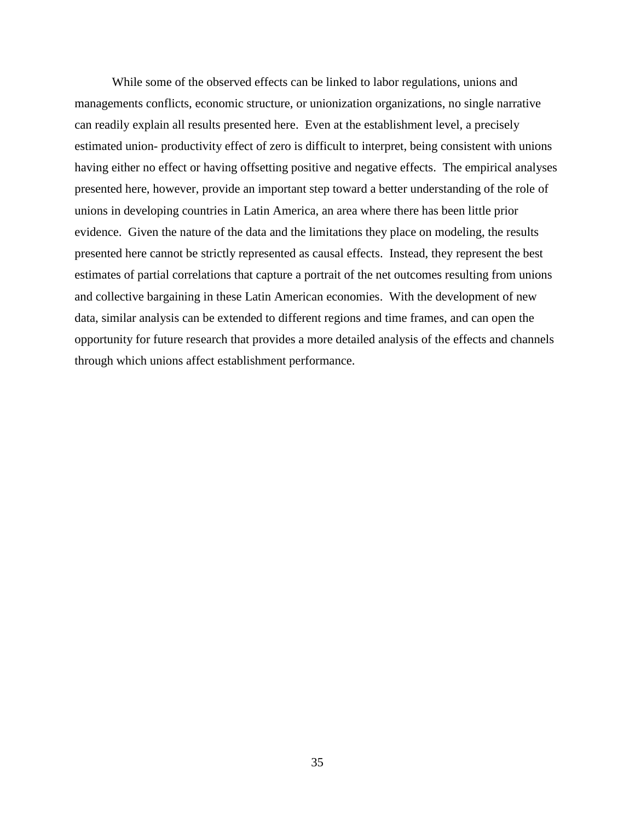While some of the observed effects can be linked to labor regulations, unions and managements conflicts, economic structure, or unionization organizations, no single narrative can readily explain all results presented here. Even at the establishment level, a precisely estimated union- productivity effect of zero is difficult to interpret, being consistent with unions having either no effect or having offsetting positive and negative effects. The empirical analyses presented here, however, provide an important step toward a better understanding of the role of unions in developing countries in Latin America, an area where there has been little prior evidence. Given the nature of the data and the limitations they place on modeling, the results presented here cannot be strictly represented as causal effects. Instead, they represent the best estimates of partial correlations that capture a portrait of the net outcomes resulting from unions and collective bargaining in these Latin American economies. With the development of new data, similar analysis can be extended to different regions and time frames, and can open the opportunity for future research that provides a more detailed analysis of the effects and channels through which unions affect establishment performance.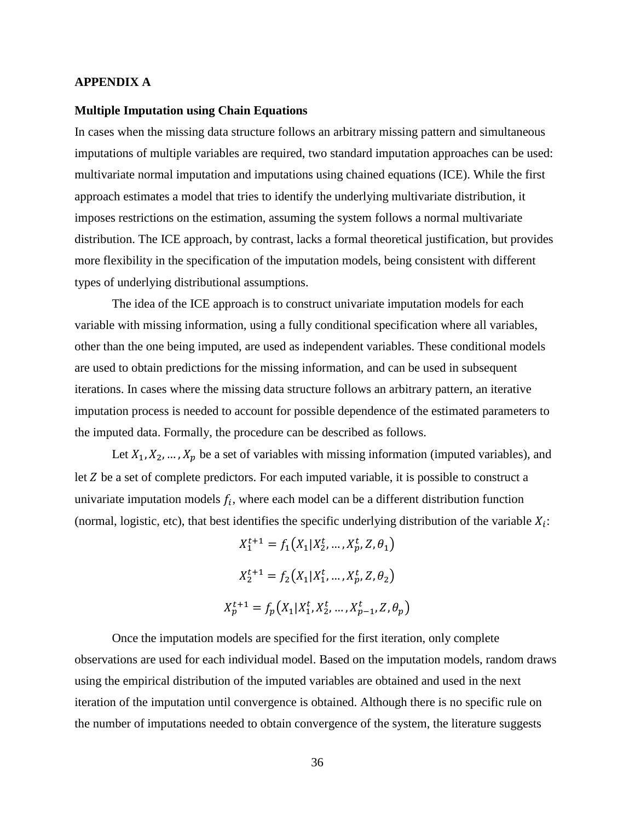#### **APPENDIX A**

#### **Multiple Imputation using Chain Equations**

In cases when the missing data structure follows an arbitrary missing pattern and simultaneous imputations of multiple variables are required, two standard imputation approaches can be used: multivariate normal imputation and imputations using chained equations (ICE). While the first approach estimates a model that tries to identify the underlying multivariate distribution, it imposes restrictions on the estimation, assuming the system follows a normal multivariate distribution. The ICE approach, by contrast, lacks a formal theoretical justification, but provides more flexibility in the specification of the imputation models, being consistent with different types of underlying distributional assumptions.

The idea of the ICE approach is to construct univariate imputation models for each variable with missing information, using a fully conditional specification where all variables, other than the one being imputed, are used as independent variables. These conditional models are used to obtain predictions for the missing information, and can be used in subsequent iterations. In cases where the missing data structure follows an arbitrary pattern, an iterative imputation process is needed to account for possible dependence of the estimated parameters to the imputed data. Formally, the procedure can be described as follows.

Let  $X_1, X_2, \ldots, X_p$  be a set of variables with missing information (imputed variables), and let  $Z$  be a set of complete predictors. For each imputed variable, it is possible to construct a univariate imputation models  $f_i$ , where each model can be a different distribution function (normal, logistic, etc), that best identifies the specific underlying distribution of the variable  $X_i$ :

> $X_1^{t+1} = f_1(X_1 | X_2^t, ..., X_n^t, Z, \theta_1)$  $X_2^{t+1} = f_2(X_1 | X_1^t, ..., X_p^t, Z, \theta_2)$  $X_p^{t+1} = f_p(X_1 | X_1^t, X_2^t, ..., X_{n-1}^t, Z, \theta_p)$

Once the imputation models are specified for the first iteration, only complete observations are used for each individual model. Based on the imputation models, random draws using the empirical distribution of the imputed variables are obtained and used in the next iteration of the imputation until convergence is obtained. Although there is no specific rule on the number of imputations needed to obtain convergence of the system, the literature suggests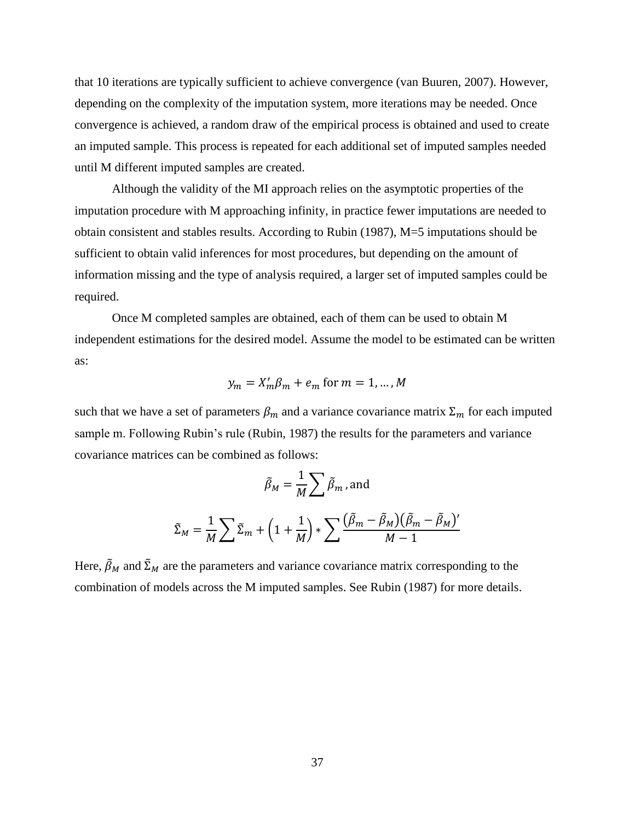that 10 iterations are typically sufficient to achieve convergence (van Buuren, 2007). However, depending on the complexity of the imputation system, more iterations may be needed. Once convergence is achieved, a random draw of the empirical process is obtained and used to create an imputed sample. This process is repeated for each additional set of imputed samples needed until M different imputed samples are created.

Although the validity of the MI approach relies on the asymptotic properties of the imputation procedure with M approaching infinity, in practice fewer imputations are needed to obtain consistent and stables results. According to Rubin (1987), M=5 imputations should be sufficient to obtain valid inferences for most procedures, but depending on the amount of information missing and the type of analysis required, a larger set of imputed samples could be required.

Once M completed samples are obtained, each of them can be used to obtain M independent estimations for the desired model. Assume the model to be estimated can be written as:

$$
y_m = X'_m \beta_m + e_m
$$
 for  $m = 1, \dots, M$ 

such that we have a set of parameters  $\beta_m$  and a variance covariance matrix  $\Sigma_m$  for each imputed sample m. Following Rubin's rule (Rubin, 1987) the results for the parameters and variance covariance matrices can be combined as follows:

$$
\tilde{\beta}_M = \frac{1}{M} \sum \tilde{\beta}_m \text{, and}
$$

$$
\tilde{\Sigma}_M = \frac{1}{M} \sum \tilde{\Sigma}_m + \left(1 + \frac{1}{M}\right) * \sum \frac{(\tilde{\beta}_m - \tilde{\beta}_M)(\tilde{\beta}_m - \tilde{\beta}_M)'}{M - 1}
$$

Here,  $\tilde{\beta}_M$  and  $\tilde{\Sigma}_M$  are the parameters and variance covariance matrix corresponding to the combination of models across the M imputed samples. See Rubin (1987) for more details.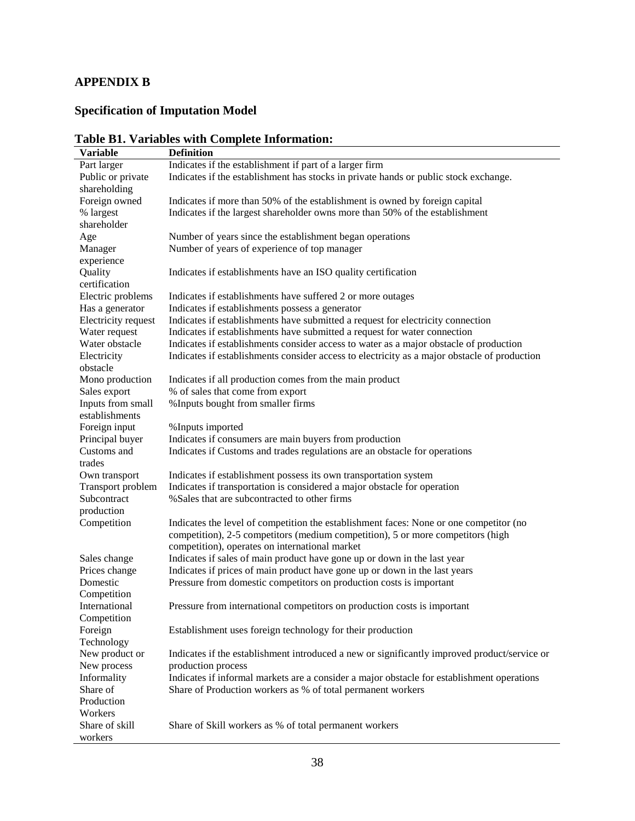# **APPENDIX B**

# **Specification of Imputation Model**

| <b>Variable</b>     | <b>Definition</b>                                                                            |
|---------------------|----------------------------------------------------------------------------------------------|
| Part larger         | Indicates if the establishment if part of a larger firm                                      |
| Public or private   | Indicates if the establishment has stocks in private hands or public stock exchange.         |
| shareholding        |                                                                                              |
| Foreign owned       | Indicates if more than 50% of the establishment is owned by foreign capital                  |
| % largest           | Indicates if the largest shareholder owns more than 50% of the establishment                 |
| shareholder         |                                                                                              |
| Age                 | Number of years since the establishment began operations                                     |
| Manager             | Number of years of experience of top manager                                                 |
| experience          |                                                                                              |
| Quality             | Indicates if establishments have an ISO quality certification                                |
| certification       |                                                                                              |
| Electric problems   | Indicates if establishments have suffered 2 or more outages                                  |
| Has a generator     | Indicates if establishments possess a generator                                              |
| Electricity request | Indicates if establishments have submitted a request for electricity connection              |
| Water request       | Indicates if establishments have submitted a request for water connection                    |
| Water obstacle      | Indicates if establishments consider access to water as a major obstacle of production       |
| Electricity         | Indicates if establishments consider access to electricity as a major obstacle of production |
| obstacle            |                                                                                              |
| Mono production     | Indicates if all production comes from the main product                                      |
| Sales export        | % of sales that come from export                                                             |
| Inputs from small   | % Inputs bought from smaller firms                                                           |
| establishments      |                                                                                              |
| Foreign input       | % Inputs imported                                                                            |
| Principal buyer     | Indicates if consumers are main buyers from production                                       |
| Customs and         | Indicates if Customs and trades regulations are an obstacle for operations                   |
| trades              |                                                                                              |
| Own transport       | Indicates if establishment possess its own transportation system                             |
| Transport problem   | Indicates if transportation is considered a major obstacle for operation                     |
| Subcontract         | % Sales that are subcontracted to other firms                                                |
| production          |                                                                                              |
| Competition         | Indicates the level of competition the establishment faces: None or one competitor (no       |
|                     | competition), 2-5 competitors (medium competition), 5 or more competitors (high              |
|                     | competition), operates on international market                                               |
| Sales change        | Indicates if sales of main product have gone up or down in the last year                     |
| Prices change       | Indicates if prices of main product have gone up or down in the last years                   |
| Domestic            | Pressure from domestic competitors on production costs is important                          |
| Competition         |                                                                                              |
| International       | Pressure from international competitors on production costs is important                     |
| Competition         |                                                                                              |
| Foreign             | Establishment uses foreign technology for their production                                   |
| Technology          |                                                                                              |
| New product or      | Indicates if the establishment introduced a new or significantly improved product/service or |
| New process         | production process                                                                           |
| Informality         | Indicates if informal markets are a consider a major obstacle for establishment operations   |
| Share of            | Share of Production workers as % of total permanent workers                                  |
| Production          |                                                                                              |
| Workers             |                                                                                              |
| Share of skill      | Share of Skill workers as % of total permanent workers                                       |
| workers             |                                                                                              |

# **Table B1. Variables with Complete Information:**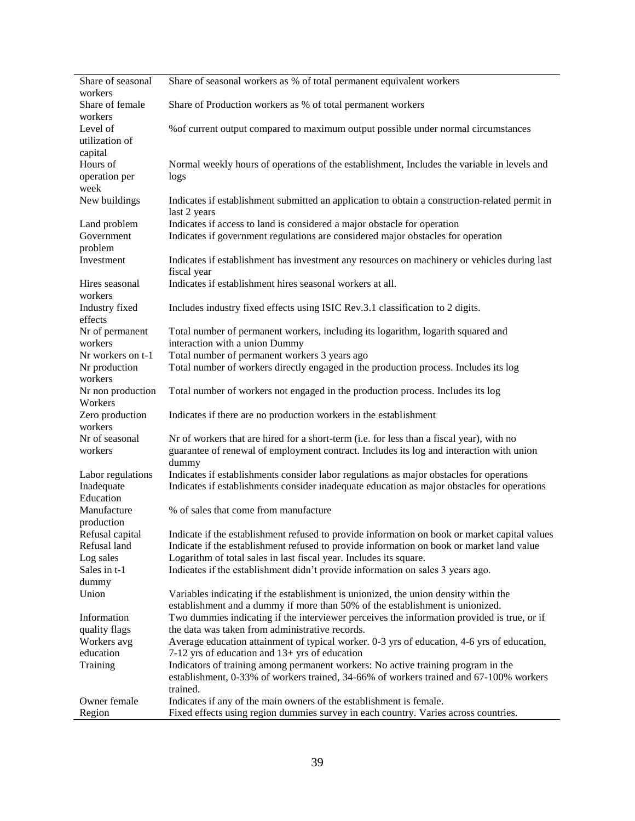| Share of seasonal<br>workers | Share of seasonal workers as % of total permanent equivalent workers                                                                                                  |
|------------------------------|-----------------------------------------------------------------------------------------------------------------------------------------------------------------------|
| Share of female              | Share of Production workers as % of total permanent workers                                                                                                           |
| workers<br>Level of          | % of current output compared to maximum output possible under normal circumstances                                                                                    |
| utilization of               |                                                                                                                                                                       |
| capital<br>Hours of          | Normal weekly hours of operations of the establishment, Includes the variable in levels and                                                                           |
| operation per                | logs                                                                                                                                                                  |
| week                         |                                                                                                                                                                       |
| New buildings                | Indicates if establishment submitted an application to obtain a construction-related permit in<br>last 2 years                                                        |
| Land problem                 | Indicates if access to land is considered a major obstacle for operation                                                                                              |
| Government                   | Indicates if government regulations are considered major obstacles for operation                                                                                      |
| problem                      |                                                                                                                                                                       |
| Investment                   | Indicates if establishment has investment any resources on machinery or vehicles during last<br>fiscal year                                                           |
| Hires seasonal<br>workers    | Indicates if establishment hires seasonal workers at all.                                                                                                             |
| Industry fixed               | Includes industry fixed effects using ISIC Rev.3.1 classification to 2 digits.                                                                                        |
| effects                      |                                                                                                                                                                       |
| Nr of permanent              | Total number of permanent workers, including its logarithm, logarith squared and                                                                                      |
| workers                      | interaction with a union Dummy                                                                                                                                        |
| Nr workers on t-1            | Total number of permanent workers 3 years ago                                                                                                                         |
| Nr production<br>workers     | Total number of workers directly engaged in the production process. Includes its log                                                                                  |
| Nr non production            | Total number of workers not engaged in the production process. Includes its log                                                                                       |
| Workers                      |                                                                                                                                                                       |
| Zero production<br>workers   | Indicates if there are no production workers in the establishment                                                                                                     |
| Nr of seasonal               | Nr of workers that are hired for a short-term (i.e. for less than a fiscal year), with no                                                                             |
| workers                      | guarantee of renewal of employment contract. Includes its log and interaction with union                                                                              |
|                              | dummy                                                                                                                                                                 |
| Labor regulations            | Indicates if establishments consider labor regulations as major obstacles for operations                                                                              |
| Inadequate<br>Education      | Indicates if establishments consider inadequate education as major obstacles for operations                                                                           |
| Manufacture                  | % of sales that come from manufacture                                                                                                                                 |
| production                   |                                                                                                                                                                       |
| Refusal capital              | Indicate if the establishment refused to provide information on book or market capital values                                                                         |
| Refusal land                 | Indicate if the establishment refused to provide information on book or market land value                                                                             |
| Log sales                    | Logarithm of total sales in last fiscal year. Includes its square.                                                                                                    |
| Sales in t-1                 | Indicates if the establishment didn't provide information on sales 3 years ago.                                                                                       |
| dummy                        |                                                                                                                                                                       |
| Union                        | Variables indicating if the establishment is unionized, the union density within the<br>establishment and a dummy if more than 50% of the establishment is unionized. |
| Information                  | Two dummies indicating if the interviewer perceives the information provided is true, or if                                                                           |
| quality flags                | the data was taken from administrative records.                                                                                                                       |
| Workers avg                  | Average education attainment of typical worker. 0-3 yrs of education, 4-6 yrs of education,                                                                           |
| education                    | 7-12 yrs of education and 13+ yrs of education                                                                                                                        |
| Training                     | Indicators of training among permanent workers: No active training program in the                                                                                     |
|                              | establishment, 0-33% of workers trained, 34-66% of workers trained and 67-100% workers                                                                                |
|                              | trained.                                                                                                                                                              |
| Owner female                 | Indicates if any of the main owners of the establishment is female.                                                                                                   |
| Region                       | Fixed effects using region dummies survey in each country. Varies across countries.                                                                                   |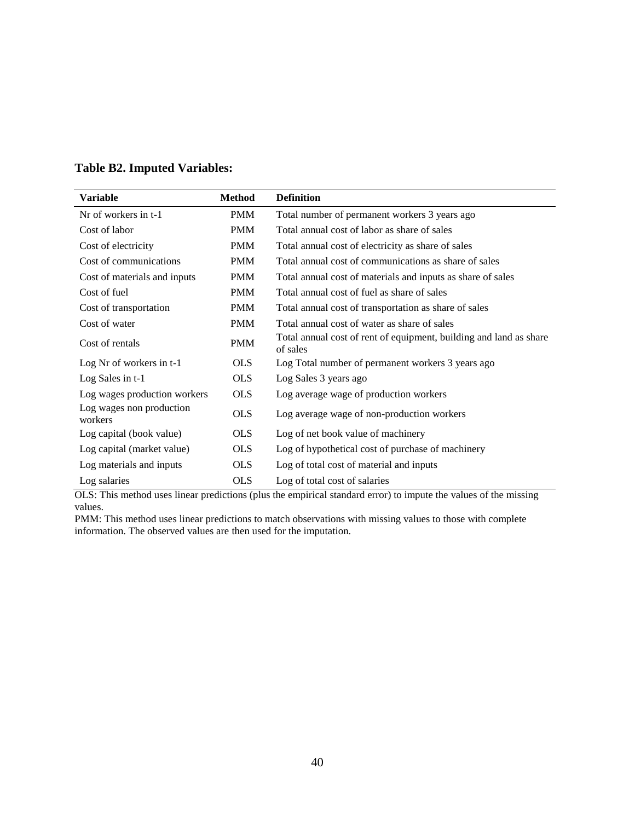| <b>Variable</b>                     | <b>Method</b> | <b>Definition</b>                                                              |
|-------------------------------------|---------------|--------------------------------------------------------------------------------|
| Nr of workers in t-1                | <b>PMM</b>    | Total number of permanent workers 3 years ago                                  |
| Cost of labor                       | <b>PMM</b>    | Total annual cost of labor as share of sales                                   |
| Cost of electricity                 | <b>PMM</b>    | Total annual cost of electricity as share of sales                             |
| Cost of communications              | <b>PMM</b>    | Total annual cost of communications as share of sales                          |
| Cost of materials and inputs        | <b>PMM</b>    | Total annual cost of materials and inputs as share of sales                    |
| Cost of fuel                        | <b>PMM</b>    | Total annual cost of fuel as share of sales                                    |
| Cost of transportation              | <b>PMM</b>    | Total annual cost of transportation as share of sales                          |
| Cost of water                       | <b>PMM</b>    | Total annual cost of water as share of sales                                   |
| Cost of rentals                     | <b>PMM</b>    | Total annual cost of rent of equipment, building and land as share<br>of sales |
| Log Nr of workers in t-1            | <b>OLS</b>    | Log Total number of permanent workers 3 years ago                              |
| Log Sales in t-1                    | <b>OLS</b>    | Log Sales 3 years ago                                                          |
| Log wages production workers        | <b>OLS</b>    | Log average wage of production workers                                         |
| Log wages non production<br>workers | <b>OLS</b>    | Log average wage of non-production workers                                     |
| Log capital (book value)            | <b>OLS</b>    | Log of net book value of machinery                                             |
| Log capital (market value)          | <b>OLS</b>    | Log of hypothetical cost of purchase of machinery                              |
| Log materials and inputs            | <b>OLS</b>    | Log of total cost of material and inputs                                       |
| Log salaries                        | <b>OLS</b>    | Log of total cost of salaries                                                  |

## **Table B2. Imputed Variables:**

OLS: This method uses linear predictions (plus the empirical standard error) to impute the values of the missing values.

PMM: This method uses linear predictions to match observations with missing values to those with complete information. The observed values are then used for the imputation.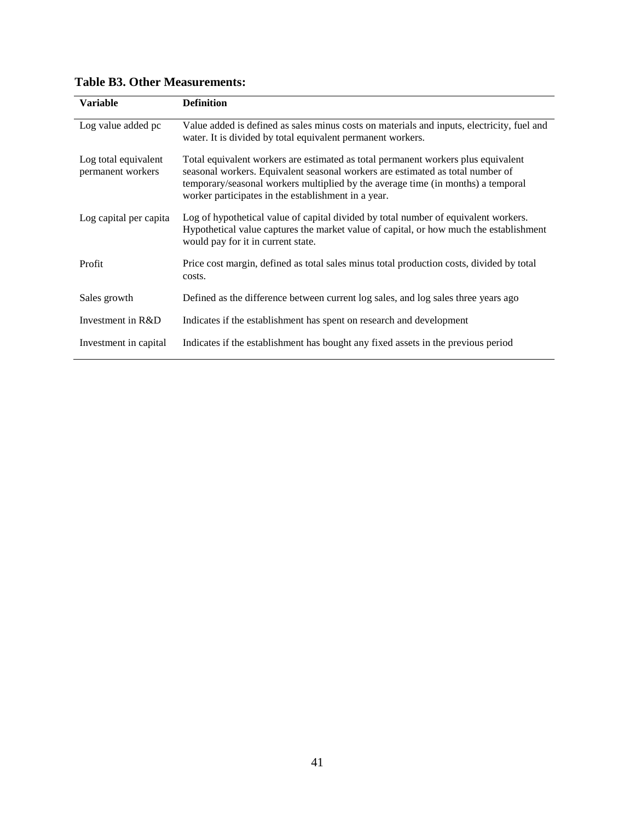| <b>Variable</b>                           | <b>Definition</b>                                                                                                                                                                                                                                                                                              |
|-------------------------------------------|----------------------------------------------------------------------------------------------------------------------------------------------------------------------------------------------------------------------------------------------------------------------------------------------------------------|
| Log value added pc                        | Value added is defined as sales minus costs on materials and inputs, electricity, fuel and<br>water. It is divided by total equivalent permanent workers.                                                                                                                                                      |
| Log total equivalent<br>permanent workers | Total equivalent workers are estimated as total permanent workers plus equivalent<br>seasonal workers. Equivalent seasonal workers are estimated as total number of<br>temporary/seasonal workers multiplied by the average time (in months) a temporal<br>worker participates in the establishment in a year. |
| Log capital per capita                    | Log of hypothetical value of capital divided by total number of equivalent workers.<br>Hypothetical value captures the market value of capital, or how much the establishment<br>would pay for it in current state.                                                                                            |
| Profit                                    | Price cost margin, defined as total sales minus total production costs, divided by total<br>costs.                                                                                                                                                                                                             |
| Sales growth                              | Defined as the difference between current log sales, and log sales three years ago                                                                                                                                                                                                                             |
| Investment in R&D                         | Indicates if the establishment has spent on research and development                                                                                                                                                                                                                                           |
| Investment in capital                     | Indicates if the establishment has bought any fixed assets in the previous period                                                                                                                                                                                                                              |

## **Table B3. Other Measurements:**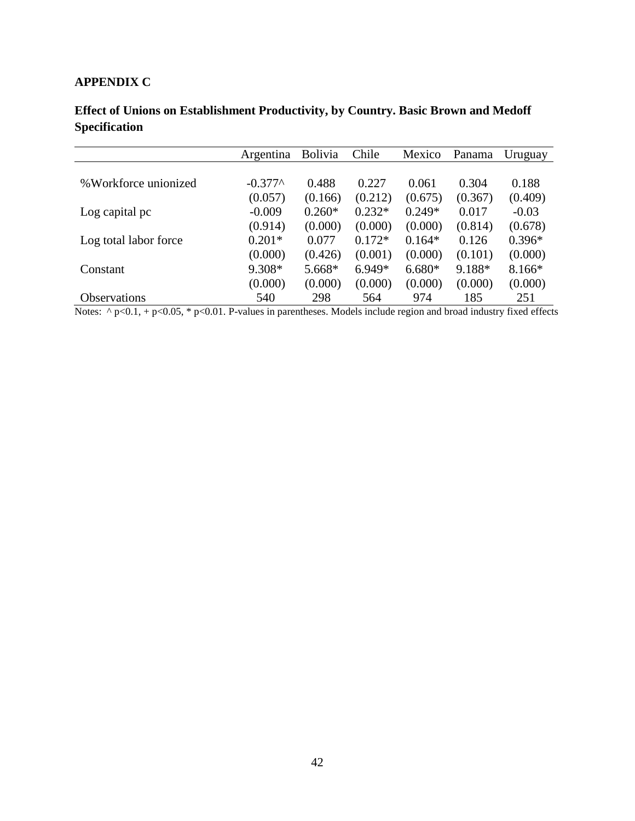# **APPENDIX C**

| Effect of Unions on Establishment Productivity, by Country. Basic Brown and Medoff |  |
|------------------------------------------------------------------------------------|--|
| <b>Specification</b>                                                               |  |

|                       | Argentina | <b>Bolivia</b> | Chile    | Mexico   | Panama  | Uruguay  |
|-----------------------|-----------|----------------|----------|----------|---------|----------|
|                       |           |                |          |          |         |          |
| % Workforce unionized | $-0.377^$ | 0.488          | 0.227    | 0.061    | 0.304   | 0.188    |
|                       | (0.057)   | (0.166)        | (0.212)  | (0.675)  | (0.367) | (0.409)  |
| Log capital pc        | $-0.009$  | $0.260*$       | $0.232*$ | $0.249*$ | 0.017   | $-0.03$  |
|                       | (0.914)   | (0.000)        | (0.000)  | (0.000)  | (0.814) | (0.678)  |
| Log total labor force | $0.201*$  | 0.077          | $0.172*$ | $0.164*$ | 0.126   | $0.396*$ |
|                       | (0.000)   | (0.426)        | (0.001)  | (0.000)  | (0.101) | (0.000)  |
| Constant              | 9.308*    | 5.668*         | $6.949*$ | $6.680*$ | 9.188*  | 8.166*   |
|                       | (0.000)   | (0.000)        | (0.000)  | (0.000)  | (0.000) | (0.000)  |
| <b>Observations</b>   | 540       | 298            | 564      | 974      | 185     | 251      |

Notes:  $\land$  p<0.1, + p<0.05, \* p<0.01. P-values in parentheses. Models include region and broad industry fixed effects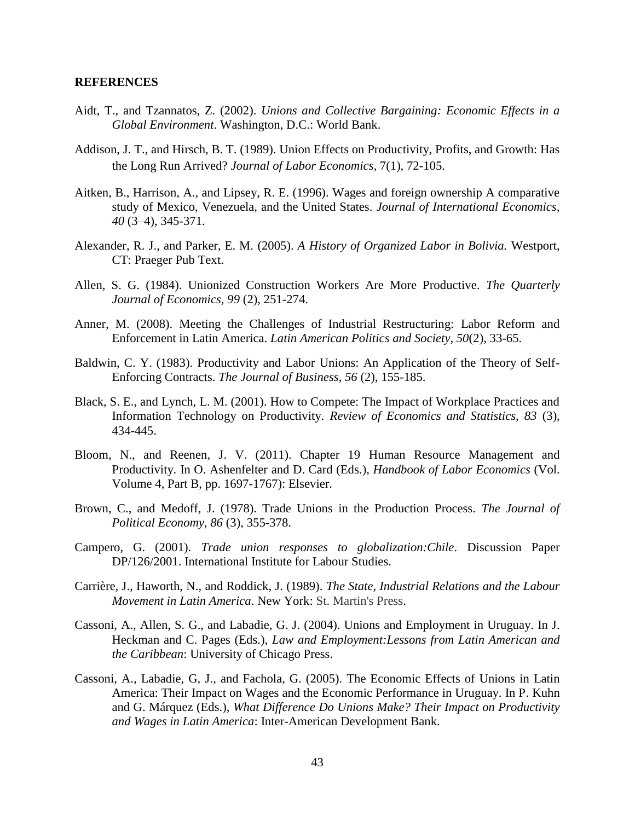#### **REFERENCES**

- Aidt, T., and Tzannatos, Z. (2002). *Unions and Collective Bargaining: Economic Effects in a Global Environment*. Washington, D.C.: World Bank.
- Addison, J. T., and Hirsch, B. T. (1989). Union Effects on Productivity, Profits, and Growth: Has the Long Run Arrived? *Journal of Labor Economics*, 7(1), 72-105.
- Aitken, B., Harrison, A., and Lipsey, R. E. (1996). Wages and foreign ownership A comparative study of Mexico, Venezuela, and the United States. *Journal of International Economics, 40* (3–4), 345-371.
- Alexander, R. J., and Parker, E. M. (2005). *A History of Organized Labor in Bolivia.* Westport, CT: Praeger Pub Text.
- Allen, S. G. (1984). Unionized Construction Workers Are More Productive. *The Quarterly Journal of Economics, 99* (2), 251-274.
- Anner, M. (2008). Meeting the Challenges of Industrial Restructuring: Labor Reform and Enforcement in Latin America. *Latin American Politics and Society, 50*(2), 33-65.
- <span id="page-43-0"></span>Baldwin, C. Y. (1983). Productivity and Labor Unions: An Application of the Theory of Self-Enforcing Contracts. *The Journal of Business, 56* (2), 155-185.
- Black, S. E., and Lynch, L. M. (2001). How to Compete: The Impact of Workplace Practices and Information Technology on Productivity. *Review of Economics and Statistics, 83* (3), 434-445.
- Bloom, N., and Reenen, J. V. (2011). Chapter 19 Human Resource Management and Productivity. In O. Ashenfelter and D. Card (Eds.), *Handbook of Labor Economics* (Vol. Volume 4, Part B, pp. 1697-1767): Elsevier.
- Brown, C., and Medoff, J. (1978). Trade Unions in the Production Process. *The Journal of Political Economy, 86* (3), 355-378.
- Campero, G. (2001). *Trade union responses to globalization:Chile*. Discussion Paper DP/126/2001. International Institute for Labour Studies.
- Carrière, J., Haworth, N., and Roddick, J. (1989). *The State, Industrial Relations and the Labour Movement in Latin America*. New York: St. Martin's Press.
- Cassoni, A., Allen, S. G., and Labadie, G. J. (2004). Unions and Employment in Uruguay. In J. Heckman and C. Pages (Eds.), *Law and Employment:Lessons from Latin American and the Caribbean*: University of Chicago Press.
- Cassoni, A., Labadie, G, J., and Fachola, G. (2005). The Economic Effects of Unions in Latin America: Their Impact on Wages and the Economic Performance in Uruguay. In P. Kuhn and G. Márquez (Eds.), *What Difference Do Unions Make? Their Impact on Productivity and Wages in Latin America*: Inter-American Development Bank.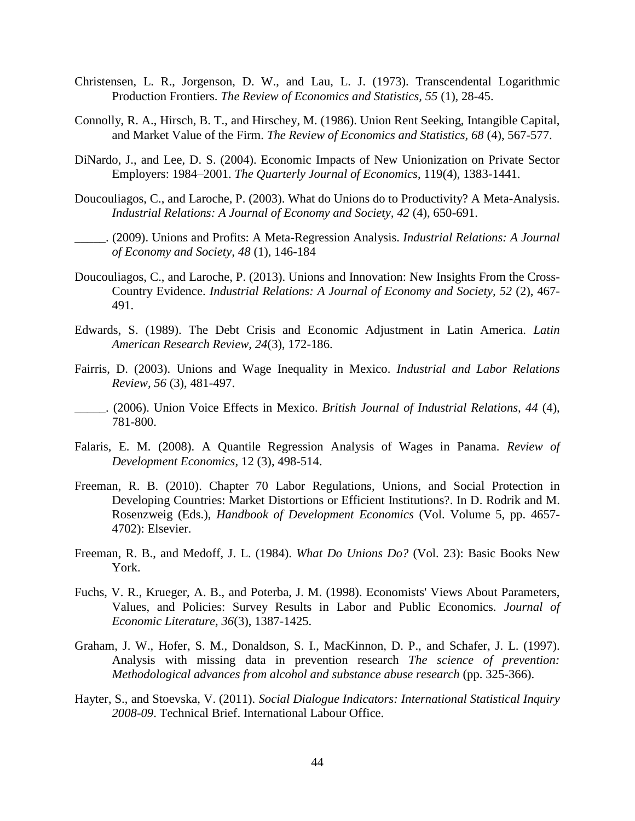- Christensen, L. R., Jorgenson, D. W., and Lau, L. J. (1973). Transcendental Logarithmic Production Frontiers. *The Review of Economics and Statistics, 55* (1), 28-45.
- Connolly, R. A., Hirsch, B. T., and Hirschey, M. (1986). Union Rent Seeking, Intangible Capital, and Market Value of the Firm. *The Review of Economics and Statistics, 68* (4), 567-577.
- DiNardo, J., and Lee, D. S. (2004). Economic Impacts of New Unionization on Private Sector Employers: 1984–2001. *The Quarterly Journal of Economics*, 119(4), 1383-1441.
- Doucouliagos, C., and Laroche, P. (2003). What do Unions do to Productivity? A Meta-Analysis. *Industrial Relations: A Journal of Economy and Society, 42* (4), 650-691.
- \_\_\_\_\_. (2009). Unions and Profits: A Meta-Regression Analysis. *Industrial Relations: A Journal of Economy and Society, 48* (1), 146-184
- Doucouliagos, C., and Laroche, P. (2013). Unions and Innovation: New Insights From the Cross-Country Evidence. *Industrial Relations: A Journal of Economy and Society, 52* (2), 467- 491.
- Edwards, S. (1989). The Debt Crisis and Economic Adjustment in Latin America. *Latin American Research Review, 24*(3), 172-186.
- Fairris, D. (2003). Unions and Wage Inequality in Mexico. *Industrial and Labor Relations Review, 56* (3), 481-497.
- \_\_\_\_\_. (2006). Union Voice Effects in Mexico. *British Journal of Industrial Relations, 44* (4), 781-800.
- Falaris, E. M. (2008). A Quantile Regression Analysis of Wages in Panama. *Review of Development Economics*, 12 (3), 498-514.
- Freeman, R. B. (2010). Chapter 70 Labor Regulations, Unions, and Social Protection in Developing Countries: Market Distortions or Efficient Institutions?. In D. Rodrik and M. Rosenzweig (Eds.), *Handbook of Development Economics* (Vol. Volume 5, pp. 4657- 4702): Elsevier.
- Freeman, R. B., and Medoff, J. L. (1984). *What Do Unions Do?* (Vol. 23): Basic Books New York.
- Fuchs, V. R., Krueger, A. B., and Poterba, J. M. (1998). Economists' Views About Parameters, Values, and Policies: Survey Results in Labor and Public Economics. *Journal of Economic Literature, 36*(3), 1387-1425.
- Graham, J. W., Hofer, S. M., Donaldson, S. I., MacKinnon, D. P., and Schafer, J. L. (1997). Analysis with missing data in prevention research *The science of prevention: Methodological advances from alcohol and substance abuse research* (pp. 325-366).
- Hayter, S., and Stoevska, V. (2011). *Social Dialogue Indicators: International Statistical Inquiry 2008-09*. Technical Brief. International Labour Office.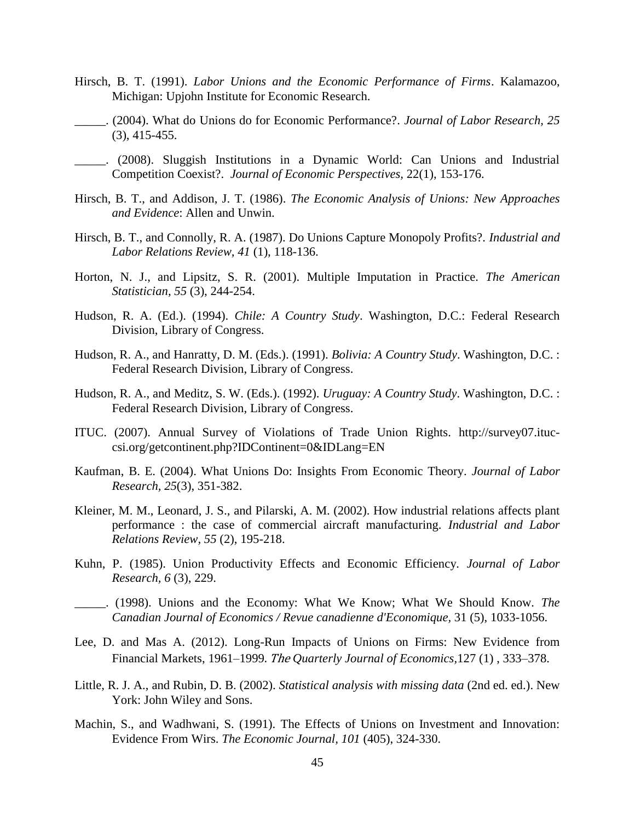- Hirsch, B. T. (1991). *Labor Unions and the Economic Performance of Firms*. Kalamazoo, Michigan: Upjohn Institute for Economic Research.
- \_\_\_\_\_. (2004). What do Unions do for Economic Performance?. *Journal of Labor Research, 25* (3), 415-455.
- \_\_\_\_\_. (2008). Sluggish Institutions in a Dynamic World: Can Unions and Industrial Competition Coexist?. *Journal of Economic Perspectives,* 22(1), 153-176.
- Hirsch, B. T., and Addison, J. T. (1986). *The Economic Analysis of Unions: New Approaches and Evidence*: Allen and Unwin.
- Hirsch, B. T., and Connolly, R. A. (1987). Do Unions Capture Monopoly Profits?. *Industrial and Labor Relations Review, 41* (1), 118-136.
- Horton, N. J., and Lipsitz, S. R. (2001). Multiple Imputation in Practice. *The American Statistician, 55* (3), 244-254.
- Hudson, R. A. (Ed.). (1994). *Chile: A Country Study*. Washington, D.C.: Federal Research Division, Library of Congress.
- Hudson, R. A., and Hanratty, D. M. (Eds.). (1991). *Bolivia: A Country Study*. Washington, D.C. : Federal Research Division, Library of Congress.
- Hudson, R. A., and Meditz, S. W. (Eds.). (1992). *Uruguay: A Country Study*. Washington, D.C. : Federal Research Division, Library of Congress.
- ITUC. (2007). Annual Survey of Violations of Trade Union Rights. [http://survey07.ituc](http://survey07.ituc-csi.org/getcontinent.php?IDContinent=0&IDLang=EN)[csi.org/getcontinent.php?IDContinent=0&IDLang=EN](http://survey07.ituc-csi.org/getcontinent.php?IDContinent=0&IDLang=EN)
- Kaufman, B. E. (2004). What Unions Do: Insights From Economic Theory. *Journal of Labor Research, 25*(3), 351-382.
- Kleiner, M. M., Leonard, J. S., and Pilarski, A. M. (2002). How industrial relations affects plant performance : the case of commercial aircraft manufacturing. *Industrial and Labor Relations Review, 55* (2), 195-218.
- Kuhn, P. (1985). Union Productivity Effects and Economic Efficiency. *Journal of Labor Research, 6* (3), 229.
- \_\_\_\_\_. (1998). Unions and the Economy: What We Know; What We Should Know. *The Canadian Journal of Economics / Revue canadienne d'Economique,* 31 (5), 1033-1056.
- Lee, D. and Mas A. (2012). Long-Run Impacts of Unions on Firms: New Evidence from Financial Markets, 1961–1999. The *Quarterly Journal of Economics,*127 (1) , 333–378.
- Little, R. J. A., and Rubin, D. B. (2002). *Statistical analysis with missing data* (2nd ed. ed.). New York: John Wiley and Sons.
- Machin, S., and Wadhwani, S. (1991). The Effects of Unions on Investment and Innovation: Evidence From Wirs. *The Economic Journal, 101* (405), 324-330.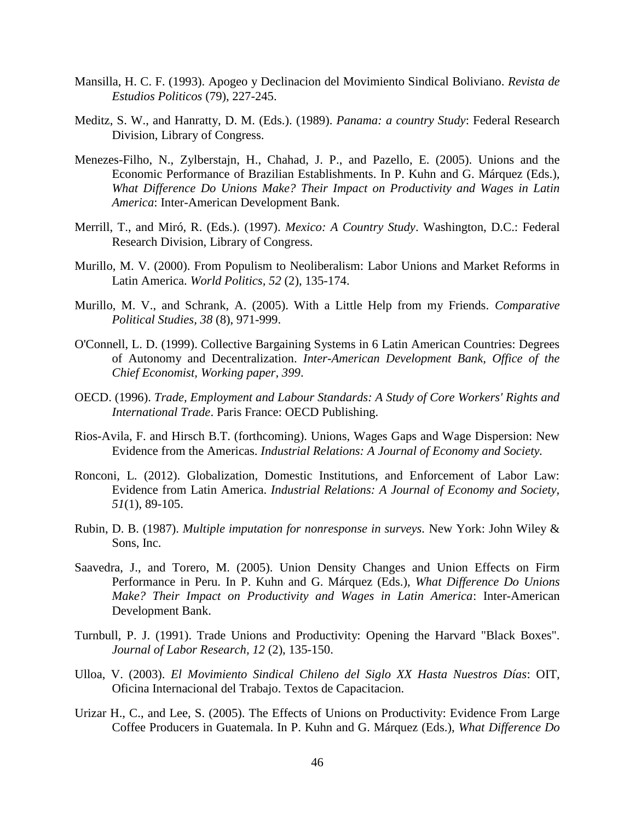- Mansilla, H. C. F. (1993). Apogeo y Declinacion del Movimiento Sindical Boliviano. *Revista de Estudios Politicos* (79), 227-245.
- Meditz, S. W., and Hanratty, D. M. (Eds.). (1989). *Panama: a country Study*: Federal Research Division, Library of Congress.
- Menezes-Filho, N., Zylberstajn, H., Chahad, J. P., and Pazello, E. (2005). Unions and the Economic Performance of Brazilian Establishments. In P. Kuhn and G. Márquez (Eds.), *What Difference Do Unions Make? Their Impact on Productivity and Wages in Latin America*: Inter-American Development Bank.
- Merrill, T., and Miró, R. (Eds.). (1997). *Mexico: A Country Study*. Washington, D.C.: Federal Research Division, Library of Congress.
- Murillo, M. V. (2000). From Populism to Neoliberalism: Labor Unions and Market Reforms in Latin America. *World Politics, 52* (2), 135-174.
- Murillo, M. V., and Schrank, A. (2005). With a Little Help from my Friends. *Comparative Political Studies, 38* (8), 971-999.
- O'Connell, L. D. (1999). Collective Bargaining Systems in 6 Latin American Countries: Degrees of Autonomy and Decentralization. *Inter-American Development Bank, Office of the Chief Economist, Working paper, 399*.
- OECD. (1996). *Trade, Employment and Labour Standards: A Study of Core Workers' Rights and International Trade*. Paris France: OECD Publishing.
- Rios-Avila, F. and Hirsch B.T. (forthcoming). Unions, Wages Gaps and Wage Dispersion: New Evidence from the Americas. *Industrial Relations: A Journal of Economy and Society.*
- Ronconi, L. (2012). Globalization, Domestic Institutions, and Enforcement of Labor Law: Evidence from Latin America. *Industrial Relations: A Journal of Economy and Society, 51*(1), 89-105.
- Rubin, D. B. (1987). *Multiple imputation for nonresponse in surveys.* New York: John Wiley & Sons, Inc.
- Saavedra, J., and Torero, M. (2005). Union Density Changes and Union Effects on Firm Performance in Peru. In P. Kuhn and G. Márquez (Eds.), *What Difference Do Unions Make? Their Impact on Productivity and Wages in Latin America*: Inter-American Development Bank.
- Turnbull, P. J. (1991). Trade Unions and Productivity: Opening the Harvard "Black Boxes". *Journal of Labor Research, 12* (2), 135-150.
- Ulloa, V. (2003). *El Movimiento Sindical Chileno del Siglo XX Hasta Nuestros Días*: OIT, Oficina Internacional del Trabajo. Textos de Capacitacion.
- Urizar H., C., and Lee, S. (2005). The Effects of Unions on Productivity: Evidence From Large Coffee Producers in Guatemala. In P. Kuhn and G. Márquez (Eds.), *What Difference Do*